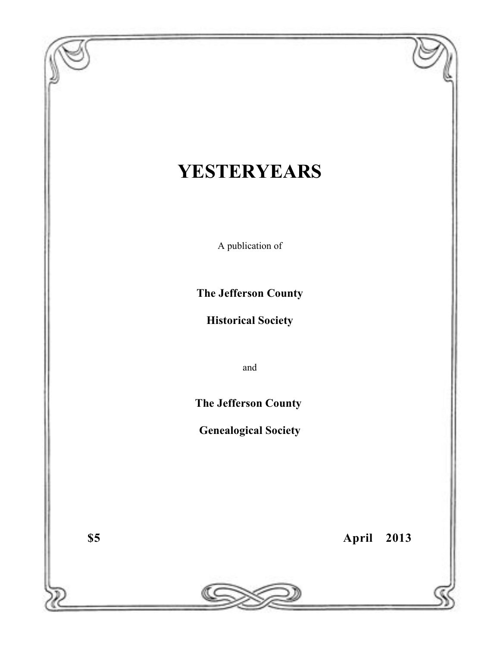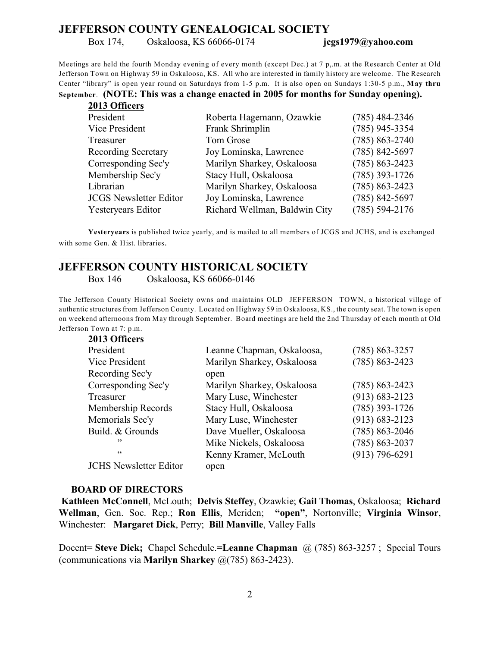#### **JEFFERSON COUNTY GENEALOGICAL SOCIETY**

Box 174, Oskaloosa, KS 66066-0174 **jcgs1979@yahoo.com**

Meetings are held the fourth Monday evening of every month (except Dec.) at 7 p,.m. at the Research Center at Old Jefferson Town on Highway 59 in Oskaloosa, KS. All who are interested in family history are welcome. The Research Center "library" is open year round on Saturdays from 1-5 p.m. It is also open on Sundays 1:30-5 p.m., **May thru**

**September**. **(NOTE: This was a change enacted in 2005 for months for Sunday opening).**

| 2013 Officers                 |                               |                    |
|-------------------------------|-------------------------------|--------------------|
| President                     | Roberta Hagemann, Ozawkie     | $(785)$ 484-2346   |
| Vice President                | Frank Shrimplin               | $(785)$ 945-3354   |
| Treasurer                     | Tom Grose                     | $(785) 863 - 2740$ |
| <b>Recording Secretary</b>    | Joy Lominska, Lawrence        | $(785) 842 - 5697$ |
| Corresponding Sec'y           | Marilyn Sharkey, Oskaloosa    | $(785) 863 - 2423$ |
| Membership Sec'y              | Stacy Hull, Oskaloosa         | $(785)$ 393-1726   |
| Librarian                     | Marilyn Sharkey, Oskaloosa    | $(785) 863 - 2423$ |
| <b>JCGS Newsletter Editor</b> | Joy Lominska, Lawrence        | $(785) 842 - 5697$ |
| <b>Yesteryears Editor</b>     | Richard Wellman, Baldwin City | $(785)$ 594-2176   |

**Yesteryears** is published twice yearly, and is mailed to all members of JCGS and JCHS, and is exchanged with some Gen. & Hist. libraries.

\_\_\_\_\_\_\_\_\_\_\_\_\_\_\_\_\_\_\_\_\_\_\_\_\_\_\_\_\_\_\_\_\_\_\_\_\_\_\_\_\_\_\_\_\_\_\_\_\_\_\_\_\_\_\_\_\_\_\_\_\_\_\_\_\_\_\_\_\_\_\_\_\_\_\_\_\_\_

### **JEFFERSON COUNTY HISTORICAL SOCIETY**

Box 146 Oskaloosa, KS 66066-0146

The Jefferson County Historical Society owns and maintains OLD JEFFERSON TOWN, a historical village of authentic structures from Jefferson County. Located on Highway 59 in Oskaloosa, KS., the county seat. The town is open on weekend afternoons from May through September. Board meetings are held the 2nd Thursday of each month at Old Jefferson Town at 7: p.m.

| 2013 Officers                 |                            |                    |
|-------------------------------|----------------------------|--------------------|
| President                     | Leanne Chapman, Oskaloosa, | $(785) 863 - 3257$ |
| Vice President                | Marilyn Sharkey, Oskaloosa | $(785) 863 - 2423$ |
| Recording Sec'y               | open                       |                    |
| Corresponding Sec'y           | Marilyn Sharkey, Oskaloosa | $(785) 863 - 2423$ |
| Treasurer                     | Mary Luse, Winchester      | $(913) 683 - 2123$ |
| Membership Records            | Stacy Hull, Oskaloosa      | $(785)$ 393-1726   |
| Memorials Sec'y               | Mary Luse, Winchester      | $(913) 683 - 2123$ |
| Build. & Grounds              | Dave Mueller, Oskaloosa    | $(785) 863 - 2046$ |
| ,,                            | Mike Nickels, Oskaloosa    | $(785) 863 - 2037$ |
| 66                            | Kenny Kramer, McLouth      | $(913) 796 - 6291$ |
| <b>JCHS</b> Newsletter Editor | open                       |                    |

#### **BOARD OF DIRECTORS**

**Kathleen McConnell**, McLouth; **Delvis Steffey**, Ozawkie; **Gail Thomas**, Oskaloosa; **Richard Wellman**, Gen. Soc. Rep.; **Ron Ellis**, Meriden; **"open"**, Nortonville; **Virginia Winsor**, Winchester: **Margaret Dick**, Perry; **Bill Manville**, Valley Falls

Docent= **Steve Dick;** Chapel Schedule.**=Leanne Chapman** @ (785) 863-3257 ; Special Tours (communications via **Marilyn Sharkey** @(785) 863-2423).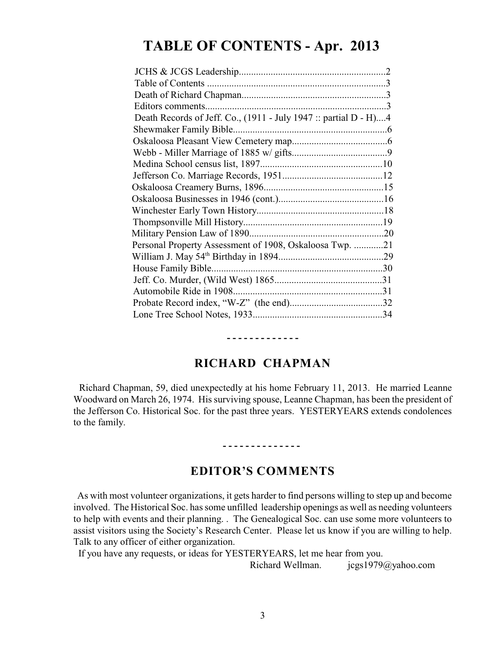# **TABLE OF CONTENTS - Apr. 2013**

| Death Records of Jeff. Co., (1911 - July 1947 :: partial D - H)4 |  |
|------------------------------------------------------------------|--|
|                                                                  |  |
|                                                                  |  |
|                                                                  |  |
|                                                                  |  |
|                                                                  |  |
|                                                                  |  |
|                                                                  |  |
|                                                                  |  |
|                                                                  |  |
|                                                                  |  |
| Personal Property Assessment of 1908, Oskaloosa Twp. 21          |  |
|                                                                  |  |
|                                                                  |  |
|                                                                  |  |
|                                                                  |  |
|                                                                  |  |
|                                                                  |  |
|                                                                  |  |

### **RICHARD CHAPMAN**

**- - - - - - - - - - - - -**

 Richard Chapman, 59, died unexpectedly at his home February 11, 2013. He married Leanne Woodward on March 26, 1974. His surviving spouse, Leanne Chapman, has been the president of the Jefferson Co. Historical Soc. for the past three years. YESTERYEARS extends condolences to the family.

# **- - - - - - - - - - - - - -**

## **EDITOR'S COMMENTS**

 As with most volunteer organizations, it gets harder to find persons willing to step up and become involved. The Historical Soc. has some unfilled leadership openings as well as needing volunteers to help with events and their planning. . The Genealogical Soc. can use some more volunteers to assist visitors using the Society's Research Center. Please let us know if you are willing to help. Talk to any officer of either organization.

If you have any requests, or ideas for YESTERYEARS, let me hear from you.

Richard Wellman. jcgs1979@yahoo.com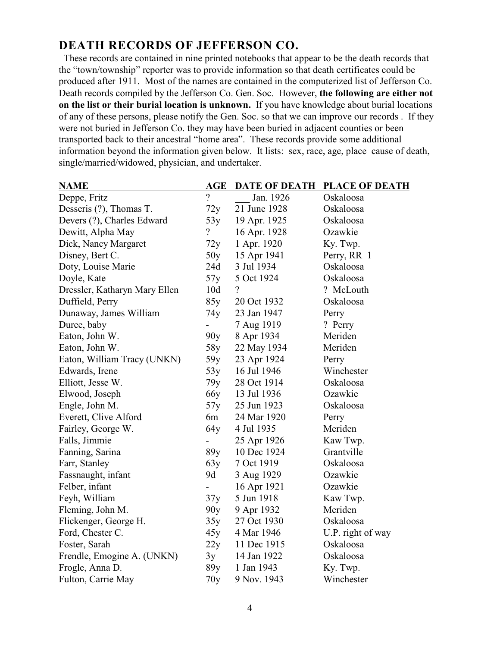## **DEATH RECORDS OF JEFFERSON CO.**

 These records are contained in nine printed notebooks that appear to be the death records that the "town/township" reporter was to provide information so that death certificates could be produced after 1911. Most of the names are contained in the computerized list of Jefferson Co. Death records compiled by the Jefferson Co. Gen. Soc. However, **the following are either not on the list or their burial location is unknown.** If you have knowledge about burial locations of any of these persons, please notify the Gen. Soc. so that we can improve our records . If they were not buried in Jefferson Co. they may have been buried in adjacent counties or been transported back to their ancestral "home area". These records provide some additional information beyond the information given below. It lists: sex, race, age, place cause of death, single/married/widowed, physician, and undertaker.

| <b>NAME</b>                   | <b>AGE</b>      | <b>DATE OF DEATH</b>     | <b>PLACE OF DEATH</b> |
|-------------------------------|-----------------|--------------------------|-----------------------|
| Deppe, Fritz                  | $\overline{?}$  | Jan. 1926                | Oskaloosa             |
| Desseris (?), Thomas T.       | 72y             | 21 June 1928             | Oskaloosa             |
| Devers (?), Charles Edward    | 53y             | 19 Apr. 1925             | Oskaloosa             |
| Dewitt, Alpha May             | $\overline{?}$  | 16 Apr. 1928             | Ozawkie               |
| Dick, Nancy Margaret          | 72y             | 1 Apr. 1920              | Ky. Twp.              |
| Disney, Bert C.               | 50y             | 15 Apr 1941              | Perry, RR 1           |
| Doty, Louise Marie            | 24d             | 3 Jul 1934               | Oskaloosa             |
| Doyle, Kate                   | 57y             | 5 Oct 1924               | Oskaloosa             |
| Dressler, Katharyn Mary Ellen | 10d             | $\overline{\mathcal{L}}$ | ? McLouth             |
| Duffield, Perry               | 85y             | 20 Oct 1932              | Oskaloosa             |
| Dunaway, James William        | 74y             | 23 Jan 1947              | Perry                 |
| Duree, baby                   |                 | 7 Aug 1919               | ? Perry               |
| Eaton, John W.                | 90y             | 8 Apr 1934               | Meriden               |
| Eaton, John W.                | 58y             | 22 May 1934              | Meriden               |
| Eaton, William Tracy (UNKN)   | 59y             | 23 Apr 1924              | Perry                 |
| Edwards, Irene                | 53y             | 16 Jul 1946              | Winchester            |
| Elliott, Jesse W.             | 79y             | 28 Oct 1914              | Oskaloosa             |
| Elwood, Joseph                | 66 <sub>y</sub> | 13 Jul 1936              | Ozawkie               |
| Engle, John M.                | 57y             | 25 Jun 1923              | Oskaloosa             |
| Everett, Clive Alford         | 6m              | 24 Mar 1920              | Perry                 |
| Fairley, George W.            | 64y             | 4 Jul 1935               | Meriden               |
| Falls, Jimmie                 |                 | 25 Apr 1926              | Kaw Twp.              |
| Fanning, Sarina               | 89y             | 10 Dec 1924              | Grantville            |
| Farr, Stanley                 | 63y             | 7 Oct 1919               | Oskaloosa             |
| Fassnaught, infant            | 9d              | 3 Aug 1929               | Ozawkie               |
| Felber, infant                |                 | 16 Apr 1921              | Ozawkie               |
| Feyh, William                 | 37y             | 5 Jun 1918               | Kaw Twp.              |
| Fleming, John M.              | 90y             | 9 Apr 1932               | Meriden               |
| Flickenger, George H.         | 35y             | 27 Oct 1930              | Oskaloosa             |
| Ford, Chester C.              | 45y             | 4 Mar 1946               | U.P. right of way     |
| Foster, Sarah                 | 22y             | 11 Dec 1915              | Oskaloosa             |
| Frendle, Emogine A. (UNKN)    | 3y              | 14 Jan 1922              | Oskaloosa             |
| Frogle, Anna D.               | 89y             | 1 Jan 1943               | Ky. Twp.              |
| Fulton, Carrie May            | 70y             | 9 Nov. 1943              | Winchester            |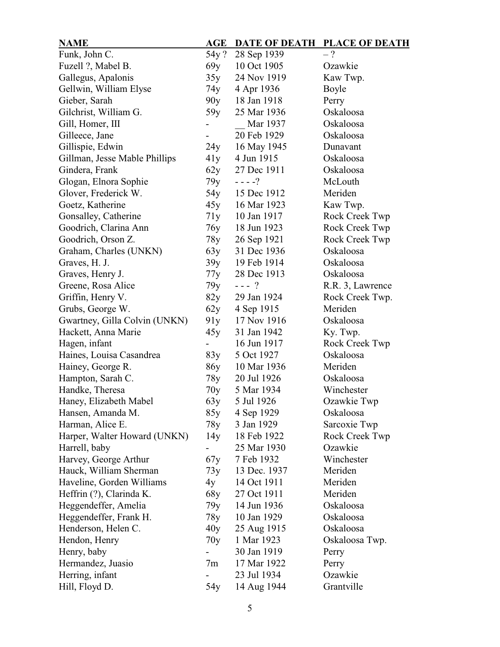| <b>NAME</b>                   | $\mathbf{AGE}$ | <b>DATE OF DEATH</b> | <b>PLACE OF DEATH</b> |
|-------------------------------|----------------|----------------------|-----------------------|
| Funk, John C.                 | 54y?           | 28 Sep 1939          | $-?$                  |
| Fuzell ?, Mabel B.            | 69y            | 10 Oct 1905          | Ozawkie               |
| Gallegus, Apalonis            | 35y            | 24 Nov 1919          | Kaw Twp.              |
| Gellwin, William Elyse        | 74y            | 4 Apr 1936           | Boyle                 |
| Gieber, Sarah                 | 90y            | 18 Jan 1918          | Perry                 |
| Gilchrist, William G.         | 59y            | 25 Mar 1936          | Oskaloosa             |
| Gill, Homer, III              |                | Mar 1937             | Oskaloosa             |
| Gilleece, Jane                |                | 20 Feb 1929          | Oskaloosa             |
| Gillispie, Edwin              | 24y            | 16 May 1945          | Dunavant              |
| Gillman, Jesse Mable Phillips | 41y            | 4 Jun 1915           | Oskaloosa             |
| Gindera, Frank                | 62y            | 27 Dec 1911          | Oskaloosa             |
| Glogan, Elnora Sophie         | 79y            | $- - - - ?$          | McLouth               |
| Glover, Frederick W.          | 54y            | 15 Dec 1912          | Meriden               |
| Goetz, Katherine              | 45y            | 16 Mar 1923          | Kaw Twp.              |
| Gonsalley, Catherine          | 71y            | 10 Jan 1917          | Rock Creek Twp        |
| Goodrich, Clarina Ann         | 76y            | 18 Jun 1923          | Rock Creek Twp        |
| Goodrich, Orson Z.            | 78y            | 26 Sep 1921          | Rock Creek Twp        |
| Graham, Charles (UNKN)        | 63y            | 31 Dec 1936          | Oskaloosa             |
| Graves, H. J.                 | 39y            | 19 Feb 1914          | Oskaloosa             |
| Graves, Henry J.              | 77y            | 28 Dec 1913          | Oskaloosa             |
| Greene, Rosa Alice            | 79y            | $--- ?$              | R.R. 3, Lawrence      |
| Griffin, Henry V.             | 82y            | 29 Jan 1924          | Rock Creek Twp.       |
| Grubs, George W.              | 62y            | 4 Sep 1915           | Meriden               |
| Gwartney, Gilla Colvin (UNKN) | 91y            | 17 Nov 1916          | Oskaloosa             |
| Hackett, Anna Marie           | 45y            | 31 Jan 1942          | Ky. Twp.              |
| Hagen, infant                 |                | 16 Jun 1917          | Rock Creek Twp        |
| Haines, Louisa Casandrea      | 83y            | 5 Oct 1927           | Oskaloosa             |
| Hainey, George R.             | 86y            | 10 Mar 1936          | Meriden               |
| Hampton, Sarah C.             | 78y            | 20 Jul 1926          | Oskaloosa             |
| Handke, Theresa               | 70y            | 5 Mar 1934           | Winchester            |
| Haney, Elizabeth Mabel        | 63 y           | 5 Jul 1926           | Ozawkie Twp           |
| Hansen, Amanda M.             | 85y            | 4 Sep 1929           | Oskaloosa             |
| Harman, Alice E.              | 78y            | 3 Jan 1929           | Sarcoxie Twp          |
| Harper, Walter Howard (UNKN)  | 14y            | 18 Feb 1922          | Rock Creek Twp        |
| Harrell, baby                 |                | 25 Mar 1930          | Ozawkie               |
| Harvey, George Arthur         | 67y            | 7 Feb 1932           | Winchester            |
| Hauck, William Sherman        | 73y            | 13 Dec. 1937         | Meriden               |
| Haveline, Gorden Williams     | 4y             | 14 Oct 1911          | Meriden               |
| Heffrin (?), Clarinda K.      | 68y            | 27 Oct 1911          | Meriden               |
| Heggendeffer, Amelia          | 79у            | 14 Jun 1936          | Oskaloosa             |
| Heggendeffer, Frank H.        | 78y            | 10 Jan 1929          | Oskaloosa             |
| Henderson, Helen C.           | 40y            | 25 Aug 1915          | Oskaloosa             |
| Hendon, Henry                 | 70y            | 1 Mar 1923           | Oskaloosa Twp.        |
| Henry, baby                   |                | 30 Jan 1919          | Perry                 |
| Hermandez, Juasio             | 7m             | 17 Mar 1922          | Perry                 |
| Herring, infant               |                | 23 Jul 1934          | Ozawkie               |
| Hill, Floyd D.                | 54y            | 14 Aug 1944          | Grantville            |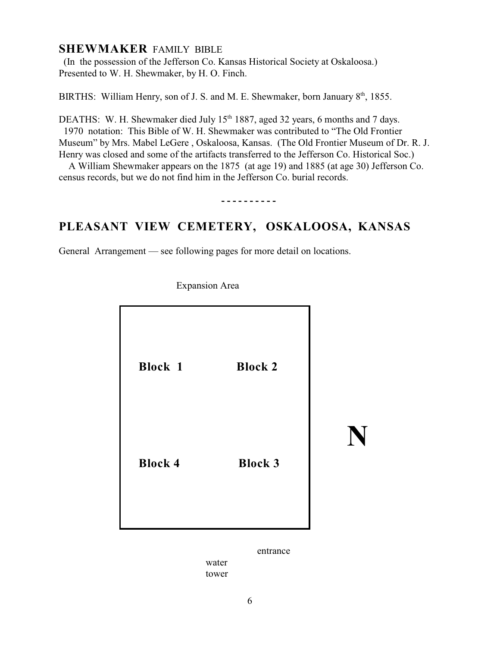### **SHEWMAKER** FAMILY BIBLE

 (In the possession of the Jefferson Co. Kansas Historical Society at Oskaloosa.) Presented to W. H. Shewmaker, by H. O. Finch.

BIRTHS: William Henry, son of J. S. and M. E. Shewmaker, born January 8<sup>th</sup>, 1855.

DEATHS: W. H. Shewmaker died July  $15<sup>th</sup> 1887$ , aged 32 years, 6 months and 7 days.

 1970 notation: This Bible of W. H. Shewmaker was contributed to "The Old Frontier Museum" by Mrs. Mabel LeGere , Oskaloosa, Kansas. (The Old Frontier Museum of Dr. R. J. Henry was closed and some of the artifacts transferred to the Jefferson Co. Historical Soc.)

 A William Shewmaker appears on the 1875 (at age 19) and 1885 (at age 30) Jefferson Co. census records, but we do not find him in the Jefferson Co. burial records.

**- - - - - - - - - -**

## **PLEASANT VIEW CEMETERY, OSKALOOSA, KANSAS**

General Arrangement — see following pages for more detail on locations.



Expansion Area

entrance

water tower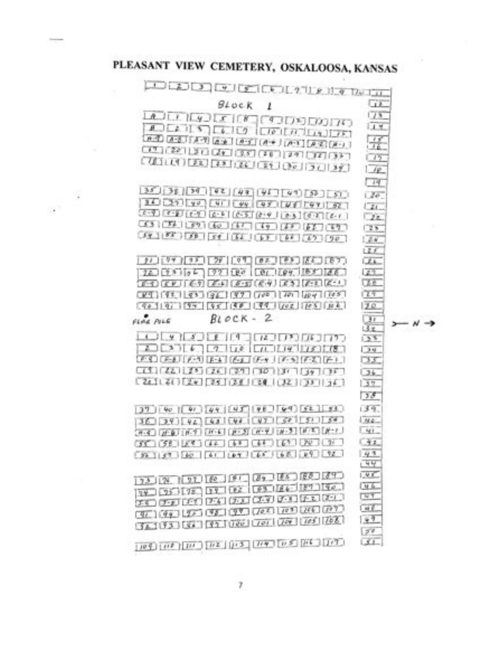$\mathcal{L}^{\mathcal{L}^{\mathcal{L}^{\mathcal{L}^{\mathcal{L}^{\mathcal{L}^{\mathcal{L}^{\mathcal{L}^{\mathcal{L}^{\mathcal{L}^{\mathcal{L}^{\mathcal{L}^{\mathcal{L}^{\mathcal{L}^{\mathcal{L}^{\mathcal{L}^{\mathcal{L}^{\mathcal{L}^{\mathcal{L}^{\mathcal{L}^{\mathcal{L}^{\mathcal{L}^{\mathcal{L}^{\mathcal{L}^{\mathcal{L}^{\mathcal{L}^{\mathcal{L}^{\mathcal{L}^{\mathcal{L}^{\mathcal{L}^{\mathcal{L}^{\mathcal$ 

# PLEASANT VIEW CEMETERY, OSKALOOSA, KANSAS

| $-1$ $-2$ $-3$ $-4$ $-5$ $-5$ $-1$ $-1$ $-2$ $-1$ $-6$ $-1$ $-7$ $-1$ $-1$                                                                                                                                                                                                                                                                                                  |                                                      |  |                 |  |
|-----------------------------------------------------------------------------------------------------------------------------------------------------------------------------------------------------------------------------------------------------------------------------------------------------------------------------------------------------------------------------|------------------------------------------------------|--|-----------------|--|
|                                                                                                                                                                                                                                                                                                                                                                             | Block 1                                              |  | СïЕ             |  |
| LA JULILLE JOE JOE 100 LA JULIA 1                                                                                                                                                                                                                                                                                                                                           |                                                      |  | 75              |  |
|                                                                                                                                                                                                                                                                                                                                                                             |                                                      |  | LI Y            |  |
| And And (And And And And And And And And And                                                                                                                                                                                                                                                                                                                                |                                                      |  | 孚               |  |
|                                                                                                                                                                                                                                                                                                                                                                             |                                                      |  | 175             |  |
|                                                                                                                                                                                                                                                                                                                                                                             |                                                      |  | 119             |  |
|                                                                                                                                                                                                                                                                                                                                                                             |                                                      |  |                 |  |
| $35$   38   39   42   43   45   49   50   51                                                                                                                                                                                                                                                                                                                                |                                                      |  | िम              |  |
| $36.55$ $yd$ $u$ $f$ $qg$ $qg$ $f$ $g$ $f$ $g$ $f$ $g$ $f$ $f$ $g$ $f$ $g$ $f$                                                                                                                                                                                                                                                                                              |                                                      |  | 120             |  |
| $\begin{bmatrix} 0 & -9 \\ 0 & 0 \end{bmatrix} \begin{bmatrix} 0 & -1 \\ 0 & 0 \end{bmatrix} \begin{bmatrix} 0 & 0 \\ 0 & 0 \end{bmatrix} \begin{bmatrix} 0 & 0 \\ 0 & 0 \end{bmatrix} \begin{bmatrix} 0 & 0 \\ 0 & 0 \end{bmatrix} \begin{bmatrix} 0 & 0 \\ 0 & 0 \end{bmatrix} \begin{bmatrix} 0 & 0 \\ 0 & 0 \end{bmatrix} \begin{bmatrix} 0 & 0 \\ 0 & 0 \end{bmatrix}$ |                                                      |  | $\sqrt{2}i$     |  |
| (53)(34)(59)(60)(47)(49)(45)(64)                                                                                                                                                                                                                                                                                                                                            |                                                      |  | 22<br>725       |  |
| $54.188$ $58$ $54.151$ $57.161$ $57.790$                                                                                                                                                                                                                                                                                                                                    |                                                      |  | 24              |  |
|                                                                                                                                                                                                                                                                                                                                                                             |                                                      |  | 125             |  |
|                                                                                                                                                                                                                                                                                                                                                                             |                                                      |  | <b>LEAL</b>     |  |
| $72.025166$ $72.180$ $96.189$ $185.166$                                                                                                                                                                                                                                                                                                                                     |                                                      |  | 129             |  |
| $F(1)$ $F(2)$ $F(3)$ $F(4)$ $F(5)$ $F(6)$ $F(7)$ $F(8)$ $F(1)$                                                                                                                                                                                                                                                                                                              |                                                      |  | ŒE              |  |
|                                                                                                                                                                                                                                                                                                                                                                             |                                                      |  | 作す              |  |
| $(9019)$ $(9519)$ $(9519)$ $(991)$ $(991)$ $(95)$ $(95)$                                                                                                                                                                                                                                                                                                                    |                                                      |  | 120             |  |
| FLAC PILE                                                                                                                                                                                                                                                                                                                                                                   | $Block - 2$                                          |  | $\mathcal{F}$   |  |
|                                                                                                                                                                                                                                                                                                                                                                             |                                                      |  | $\overline{3x}$ |  |
|                                                                                                                                                                                                                                                                                                                                                                             |                                                      |  | 35              |  |
| 2021                                                                                                                                                                                                                                                                                                                                                                        |                                                      |  | 74              |  |
| $F(1)$ $F(2)$ $F(3)$ $F(4)$ $F(4)$ $F(5)$ $F(6)$ $F(7)$ $F(2)$ $F(1)$                                                                                                                                                                                                                                                                                                       |                                                      |  | 35              |  |
| $2412121$ $24122$ $25125$ $26128$ $281221$ $23133$                                                                                                                                                                                                                                                                                                                          |                                                      |  | 74              |  |
|                                                                                                                                                                                                                                                                                                                                                                             |                                                      |  | 32              |  |
|                                                                                                                                                                                                                                                                                                                                                                             |                                                      |  | 38              |  |
| $37   40   47   44   45   45   48   52   51   53$                                                                                                                                                                                                                                                                                                                           |                                                      |  | 39              |  |
| $36 - 39$ $96 - 68$ $198$ $197$ $37$ $37$ $57$ $15$ $15$                                                                                                                                                                                                                                                                                                                    |                                                      |  | 144.            |  |
| (P-4) (P-8) (P-7) (P-6) (P-5) (P-7) (P-5) (P-7)                                                                                                                                                                                                                                                                                                                             |                                                      |  | L SEE           |  |
| $G5C$ $G5C$ $G7$ $G4C$ $G7$ $G8C$ $G7$ $G7$ $G9C$ $G9C$                                                                                                                                                                                                                                                                                                                     |                                                      |  | $-42$           |  |
| $56 - 157$ $60 - 61$ $67 - 165$ $68 - 87$ $52$                                                                                                                                                                                                                                                                                                                              |                                                      |  | 43<br>144       |  |
|                                                                                                                                                                                                                                                                                                                                                                             |                                                      |  | 145             |  |
| $123.12$ $121.16$ $187.18$ $187.185.183.144$                                                                                                                                                                                                                                                                                                                                |                                                      |  | 一生业             |  |
| TV 75 178 128 128 129 124 127 120                                                                                                                                                                                                                                                                                                                                           |                                                      |  | $\sqrt{7}$      |  |
|                                                                                                                                                                                                                                                                                                                                                                             |                                                      |  |                 |  |
|                                                                                                                                                                                                                                                                                                                                                                             | ISO (ISO (ISO (ISO (ISO (ISO ISO )                   |  | <b>LIKE</b>     |  |
|                                                                                                                                                                                                                                                                                                                                                                             | <b>GEORGE LES PERSONS (JER) (JER) (JER) (JER)</b>    |  | 47              |  |
|                                                                                                                                                                                                                                                                                                                                                                             | $(3 + 195)$ (3) $(3 + 100)$ (70) (70) (70) (70) (70) |  | 50              |  |
| $109$ $107$ $107$ $102$ $103$ $109$ $105$ $107$                                                                                                                                                                                                                                                                                                                             |                                                      |  | 51              |  |

 $N \rightarrow$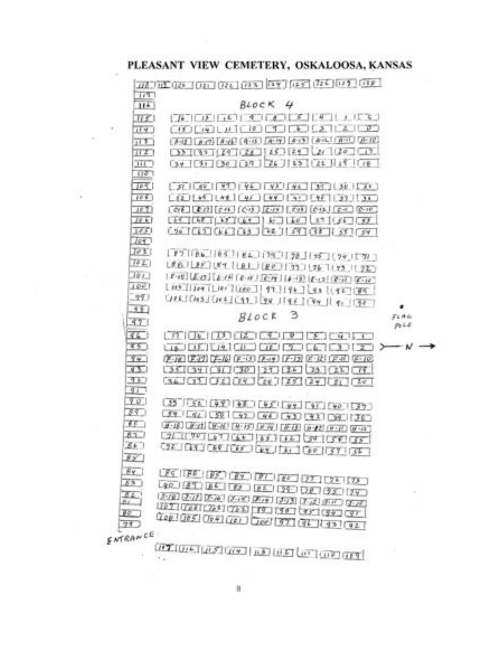#### PLEASANT VIEW CEMETERY, OSKALOOSA, KANSAS

35



**CONTRACTORS INTO INTO A CONTRACTORS**  $+$  in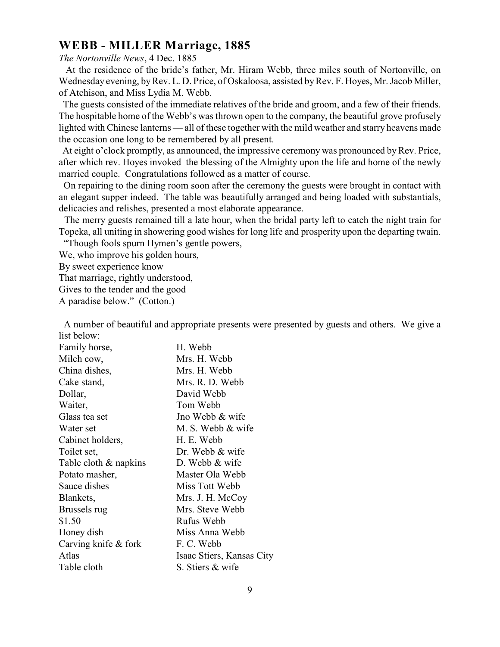### **WEBB - MILLER Marriage, 1885**

#### *The Nortonville News*, 4 Dec. 1885

 At the residence of the bride's father, Mr. Hiram Webb, three miles south of Nortonville, on Wednesday evening, byRev. L. D. Price, of Oskaloosa, assisted by Rev. F. Hoyes, Mr. Jacob Miller, of Atchison, and Miss Lydia M. Webb.

 The guests consisted of the immediate relatives of the bride and groom, and a few of their friends. The hospitable home of the Webb's was thrown open to the company, the beautiful grove profusely lighted with Chinese lanterns — all of these together with the mild weather and starry heavens made the occasion one long to be remembered by all present.

 At eight o'clock promptly, as announced, the impressive ceremony was pronounced by Rev. Price, after which rev. Hoyes invoked the blessing of the Almighty upon the life and home of the newly married couple. Congratulations followed as a matter of course.

 On repairing to the dining room soon after the ceremony the guests were brought in contact with an elegant supper indeed. The table was beautifully arranged and being loaded with substantials, delicacies and relishes, presented a most elaborate appearance.

 The merry guests remained till a late hour, when the bridal party left to catch the night train for Topeka, all uniting in showering good wishes for long life and prosperity upon the departing twain.

"Though fools spurn Hymen's gentle powers,

We, who improve his golden hours,

By sweet experience know

That marriage, rightly understood,

Gives to the tender and the good

A paradise below." (Cotton.)

 A number of beautiful and appropriate presents were presented by guests and others. We give a list below:

| Family horse,          | H. Webb                   |
|------------------------|---------------------------|
| Milch cow,             | Mrs. H. Webb              |
| China dishes,          | Mrs. H. Webb              |
| Cake stand,            | Mrs. R. D. Webb           |
| Dollar,                | David Webb                |
| Waiter,                | Tom Webb                  |
| Glass tea set          | Jno Webb & wife           |
| Water set              | M. S. Webb & wife         |
| Cabinet holders,       | H. E. Webb                |
| Toilet set,            | Dr. Webb & wife           |
| Table cloth & napkins  | D. Webb $&$ wife          |
| Potato masher,         | Master Ola Webb           |
| Sauce dishes           | Miss Tott Webb            |
| Blankets,              | Mrs. J. H. McCoy          |
| Brussels rug           | Mrs. Steve Webb           |
| \$1.50                 | Rufus Webb                |
| Honey dish             | Miss Anna Webb            |
| Carving knife $&$ fork | F.C. Webb                 |
| Atlas                  | Isaac Stiers, Kansas City |
| Table cloth            | S. Stiers & wife          |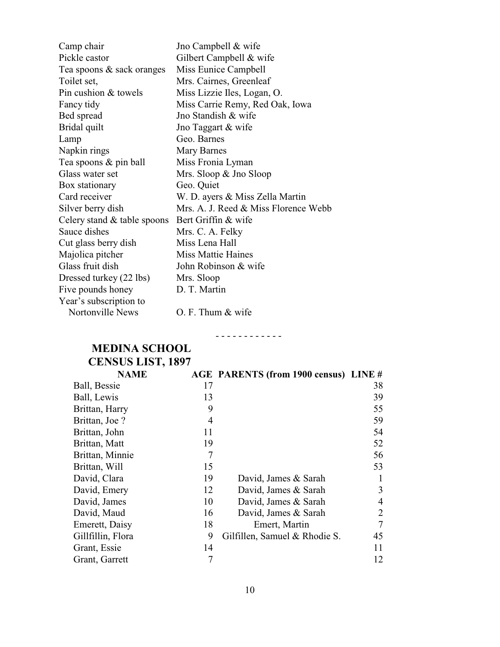| Camp chair                    | Jno Campbell & wife                  |
|-------------------------------|--------------------------------------|
| Pickle castor                 | Gilbert Campbell & wife              |
| Tea spoons & sack oranges     | Miss Eunice Campbell                 |
| Toilet set,                   | Mrs. Cairnes, Greenleaf              |
| Pin cushion & towels          | Miss Lizzie Iles, Logan, O.          |
| Fancy tidy                    | Miss Carrie Remy, Red Oak, Iowa      |
| Bed spread                    | Jno Standish & wife                  |
| Bridal quilt                  | Jno Taggart & wife                   |
| Lamp                          | Geo. Barnes                          |
| Napkin rings                  | Mary Barnes                          |
| Tea spoons & pin ball         | Miss Fronia Lyman                    |
| Glass water set               | Mrs. Sloop & Jno Sloop               |
| Box stationary                | Geo. Quiet                           |
| Card receiver                 | W. D. ayers & Miss Zella Martin      |
| Silver berry dish             | Mrs. A. J. Reed & Miss Florence Webb |
| Celery stand $&$ table spoons | Bert Griffin & wife                  |
| Sauce dishes                  | Mrs. C. A. Felky                     |
| Cut glass berry dish          | Miss Lena Hall                       |
| Majolica pitcher              | <b>Miss Mattie Haines</b>            |
| Glass fruit dish              | John Robinson & wife                 |
| Dressed turkey (22 lbs)       | Mrs. Sloop                           |
| Five pounds honey             | D. T. Martin                         |
| Year's subscription to        |                                      |
| Nortonville News              | O. F. Thum & wife                    |

# **MEDINA SCHOOL**

**CENSUS LIST, 1897**

| <b>NAME</b>       |    | AGE PARENTS (from 1900 census) LINE # |    |
|-------------------|----|---------------------------------------|----|
| Ball, Bessie      | 17 |                                       | 38 |
| Ball, Lewis       | 13 |                                       | 39 |
| Brittan, Harry    | 9  |                                       | 55 |
| Brittan, Joe?     | 4  |                                       | 59 |
| Brittan, John     | 11 |                                       | 54 |
| Brittan, Matt     | 19 |                                       | 52 |
| Brittan, Minnie   | 7  |                                       | 56 |
| Brittan, Will     | 15 |                                       | 53 |
| David, Clara      | 19 | David, James & Sarah                  | 1  |
| David, Emery      | 12 | David, James & Sarah                  | 3  |
| David, James      | 10 | David, James & Sarah                  | 4  |
| David, Maud       | 16 | David, James & Sarah                  | 2  |
| Emerett, Daisy    | 18 | Emert, Martin                         | 7  |
| Gillfillin, Flora | 9  | Gilfillen, Samuel & Rhodie S.         | 45 |
| Grant, Essie      | 14 |                                       | 11 |
| Grant, Garrett    | 7  |                                       | 12 |

- - - - - - - - - - - -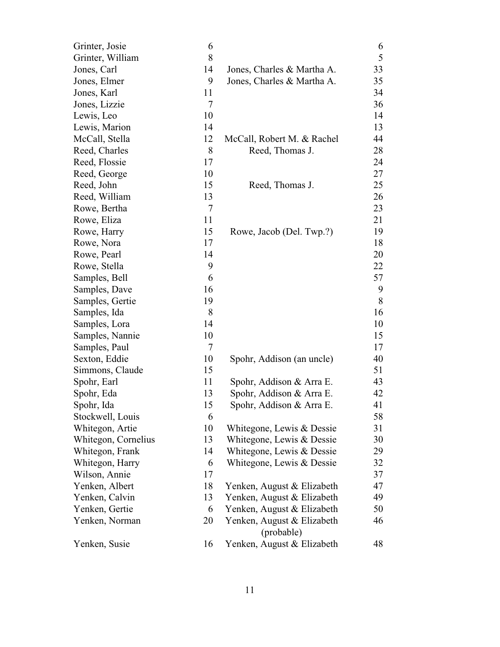| Grinter, Josie      | 6  |                                          | 6  |
|---------------------|----|------------------------------------------|----|
| Grinter, William    | 8  |                                          | 5  |
| Jones, Carl         | 14 | Jones, Charles & Martha A.               | 33 |
| Jones, Elmer        | 9  | Jones, Charles & Martha A.               | 35 |
| Jones, Karl         | 11 |                                          | 34 |
| Jones, Lizzie       | 7  |                                          | 36 |
| Lewis, Leo          | 10 |                                          | 14 |
| Lewis, Marion       | 14 |                                          | 13 |
| McCall, Stella      | 12 | McCall, Robert M. & Rachel               | 44 |
| Reed, Charles       | 8  | Reed, Thomas J.                          | 28 |
| Reed, Flossie       | 17 |                                          | 24 |
| Reed, George        | 10 |                                          | 27 |
| Reed, John          | 15 | Reed, Thomas J.                          | 25 |
| Reed, William       | 13 |                                          | 26 |
| Rowe, Bertha        | 7  |                                          | 23 |
| Rowe, Eliza         | 11 |                                          | 21 |
| Rowe, Harry         | 15 | Rowe, Jacob (Del. Twp.?)                 | 19 |
| Rowe, Nora          | 17 |                                          | 18 |
| Rowe, Pearl         | 14 |                                          | 20 |
| Rowe, Stella        | 9  |                                          | 22 |
| Samples, Bell       | 6  |                                          | 57 |
| Samples, Dave       | 16 |                                          | 9  |
| Samples, Gertie     | 19 |                                          | 8  |
| Samples, Ida        | 8  |                                          | 16 |
| Samples, Lora       | 14 |                                          | 10 |
| Samples, Nannie     | 10 |                                          | 15 |
| Samples, Paul       | 7  |                                          | 17 |
| Sexton, Eddie       | 10 | Spohr, Addison (an uncle)                | 40 |
| Simmons, Claude     | 15 |                                          | 51 |
| Spohr, Earl         | 11 | Spohr, Addison & Arra E.                 | 43 |
| Spohr, Eda          | 13 | Spohr, Addison & Arra E.                 | 42 |
| Spohr, Ida          | 15 | Spohr, Addison & Arra E                  | 41 |
| Stockwell, Louis    | 6  |                                          | 58 |
| Whitegon, Artie     | 10 | Whitegone, Lewis & Dessie                | 31 |
| Whitegon, Cornelius | 13 | Whitegone, Lewis & Dessie                | 30 |
| Whitegon, Frank     | 14 | Whitegone, Lewis & Dessie                | 29 |
| Whitegon, Harry     | 6  | Whitegone, Lewis & Dessie                | 32 |
| Wilson, Annie       | 17 |                                          | 37 |
| Yenken, Albert      | 18 | Yenken, August & Elizabeth               | 47 |
| Yenken, Calvin      | 13 | Yenken, August & Elizabeth               | 49 |
| Yenken, Gertie      | 6  | Yenken, August & Elizabeth               | 50 |
| Yenken, Norman      | 20 | Yenken, August & Elizabeth<br>(probable) | 46 |
| Yenken, Susie       | 16 | Yenken, August & Elizabeth               | 48 |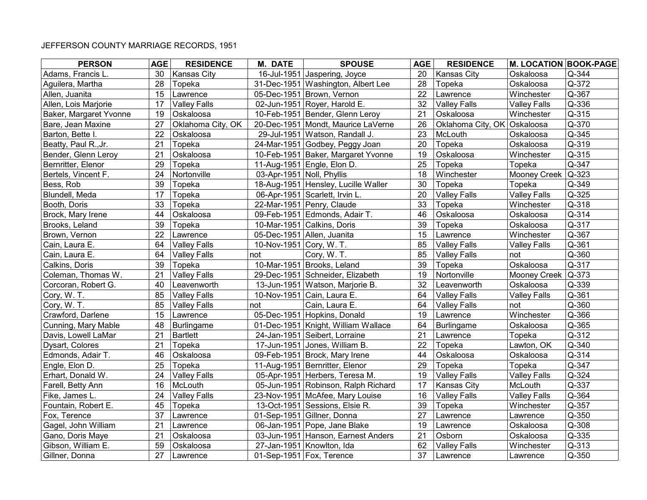| <b>PERSON</b>          | <b>AGE</b> | <b>RESIDENCE</b>    | <b>M. DATE</b>            | <b>SPOUSE</b>                       | <b>AGE</b> | <b>RESIDENCE</b>            | <b>M. LOCATION BOOK-PAGE</b> |           |
|------------------------|------------|---------------------|---------------------------|-------------------------------------|------------|-----------------------------|------------------------------|-----------|
| Adams, Francis L.      | 30         | <b>Kansas City</b>  |                           | 16-Jul-1951 Jaspering, Joyce        | 20         | <b>Kansas City</b>          | Oskaloosa                    | Q-344     |
| Aguilera, Martha       | 28         | Topeka              |                           | 31-Dec-1951 Washington, Albert Lee  | 28         | Topeka                      | Oskaloosa                    | Q-372     |
| Allen, Juanita         | 15         | Lawrence            |                           | 05-Dec-1951 Brown, Vernon           | 22         | Lawrence                    | Winchester                   | Q-367     |
| Allen, Lois Marjorie   | 17         | <b>Valley Falls</b> |                           | 02-Jun-1951 Royer, Harold E.        | 32         | <b>Valley Falls</b>         | <b>Valley Falls</b>          | Q-336     |
| Baker, Margaret Yvonne | 19         | Oskaloosa           |                           | 10-Feb-1951 Bender, Glenn Leroy     | 21         | Oskaloosa                   | Winchester                   | Q-315     |
| Bare, Jean Maxine      | 27         | Oklahoma City, OK   |                           | 20-Dec-1951 Mondt, Maurice LaVerne  | 26         | Oklahoma City, OK Oskaloosa |                              | Q-370     |
| Barton, Bette I.       | 22         | Oskaloosa           |                           | 29-Jul-1951 Watson, Randall J.      | 23         | McLouth                     | Oskaloosa                    | Q-345     |
| Beatty, Paul R., Jr.   | 21         | Topeka              |                           | 24-Mar-1951 Godbey, Peggy Joan      | 20         | Topeka                      | Oskaloosa                    | Q-319     |
| Bender, Glenn Leroy    | 21         | Oskaloosa           |                           | 10-Feb-1951 Baker, Margaret Yvonne  | 19         | Oskaloosa                   | Winchester                   | Q-315     |
| Bernritter, Elenor     | 29         | Topeka              |                           | 11-Aug-1951 Engle, Elon D.          | 25         | Topeka                      | Topeka                       | Q-347     |
| Bertels, Vincent F.    | 24         | Nortonville         | 03-Apr-1951 Noll, Phyllis |                                     | 18         | Winchester                  | Mooney Creek                 | $Q - 323$ |
| Bess, Rob              | 39         | Topeka              |                           | 18-Aug-1951 Hensley, Lucille Waller | 30         | Topeka                      | Topeka                       | Q-349     |
| Blundell, Meda         | 17         | Topeka              |                           | 06-Apr-1951 Scarlett, Irvin L.      | 20         | <b>Valley Falls</b>         | <b>Valley Falls</b>          | Q-325     |
| Booth, Doris           | 33         | Topeka              |                           | 22-Mar-1951 Penry, Claude           | 33         | Topeka                      | Winchester                   | Q-318     |
| Brock, Mary Irene      | 44         | Oskaloosa           |                           | 09-Feb-1951 Edmonds, Adair T.       | 46         | Oskaloosa                   | Oskaloosa                    | Q-314     |
| Brooks, Leland         | 39         | Topeka              |                           | 10-Mar-1951 Calkins, Doris          | 39         | Topeka                      | Oskaloosa                    | Q-317     |
| Brown, Vernon          | 22         | Lawrence            |                           | 05-Dec-1951 Allen, Juanita          | 15         | Lawrence                    | Winchester                   | Q-367     |
| Cain, Laura E.         | 64         | <b>Valley Falls</b> | 10-Nov-1951 Cory, W. T.   |                                     | 85         | <b>Valley Falls</b>         | <b>Valley Falls</b>          | Q-361     |
| Cain, Laura E.         | 64         | <b>Valley Falls</b> | not                       | Cory, W.T.                          | 85         | <b>Valley Falls</b>         | not                          | Q-360     |
| Calkins, Doris         | 39         | Topeka              |                           | 10-Mar-1951 Brooks, Leland          | 39         | Topeka                      | Oskaloosa                    | Q-317     |
| Coleman, Thomas W.     | 21         | <b>Valley Falls</b> |                           | 29-Dec-1951 Schneider, Elizabeth    | 19         | Nortonville                 | Mooney Creek                 | $Q - 373$ |
| Corcoran, Robert G.    | 40         | Leavenworth         |                           | 13-Jun-1951 Watson, Marjorie B.     | 32         | Leavenworth                 | Oskaloosa                    | Q-339     |
| Cory, W.T.             | 85         | <b>Valley Falls</b> |                           | 10-Nov-1951 Cain, Laura E.          | 64         | <b>Valley Falls</b>         | <b>Valley Falls</b>          | Q-361     |
| Cory, W.T.             | 85         | <b>Valley Falls</b> | not                       | Cain, Laura E.                      | 64         | <b>Valley Falls</b>         | not                          | Q-360     |
| Crawford, Darlene      | 15         | Lawrence            |                           | 05-Dec-1951 Hopkins, Donald         | 19         | Lawrence                    | Winchester                   | Q-366     |
| Cunning, Mary Mable    | 48         | <b>Burlingame</b>   |                           | 01-Dec-1951 Knight, William Wallace | 64         | <b>Burlingame</b>           | Oskaloosa                    | Q-365     |
| Davis, Lowell LaMar    | 21         | <b>Bartlett</b>     |                           | 24-Jan-1951 Seibert, Lorraine       | 21         | Lawrence                    | Topeka                       | Q-312     |
| Dysart, Colores        | 21         | Topeka              |                           | 17-Jun-1951 Jones, William B.       | 22         | Topeka                      | Lawton, OK                   | Q-340     |
| Edmonds, Adair T.      | 46         | Oskaloosa           |                           | 09-Feb-1951 Brock, Mary Irene       | 44         | Oskaloosa                   | Oskaloosa                    | Q-314     |
| Engle, Elon D.         | 25         | Topeka              |                           | 11-Aug-1951 Bernritter, Elenor      | 29         | Topeka                      | Topeka                       | Q-347     |
| Erhart, Donald W.      | 24         | <b>Valley Falls</b> |                           | 05-Apr-1951 Herbers, Teresa M.      | 19         | <b>Valley Falls</b>         | <b>Valley Falls</b>          | Q-324     |
| Farell, Betty Ann      | 16         | McLouth             |                           | 05-Jun-1951 Robinson, Ralph Richard | 17         | Kansas City                 | McLouth                      | Q-337     |
| Fike, James L.         | 24         | <b>Valley Falls</b> |                           | 23-Nov-1951 McAfee, Mary Louise     | 16         | <b>Valley Falls</b>         | <b>Valley Falls</b>          | Q-364     |
| Fountain, Robert E.    | 45         | Topeka              |                           | 13-Oct-1951 Sessions, Elsie R.      | 39         | Topeka                      | Winchester                   | Q-357     |
| Fox, Terence           | 37         | Lawrence            |                           | 01-Sep-1951 Gillner, Donna          | 27         | Lawrence                    | Lawrence                     | Q-350     |
| Gagel, John William    | 21         | Lawrence            |                           | 06-Jan-1951 Pope, Jane Blake        | 19         | Lawrence                    | Oskaloosa                    | Q-308     |
| Gano, Doris Maye       | 21         | Oskaloosa           |                           | 03-Jun-1951 Hanson, Earnest Anders  | 21         | Osborn                      | Oskaloosa                    | Q-335     |
| Gibson, William E.     | 59         | Oskaloosa           |                           | 27-Jan-1951 Knowlton, Ida           | 62         | <b>Valley Falls</b>         | Winchester                   | Q-313     |
| Gillner, Donna         | 27         | Lawrence            |                           | 01-Sep-1951 Fox, Terence            | 37         | Lawrence                    | Lawrence                     | Q-350     |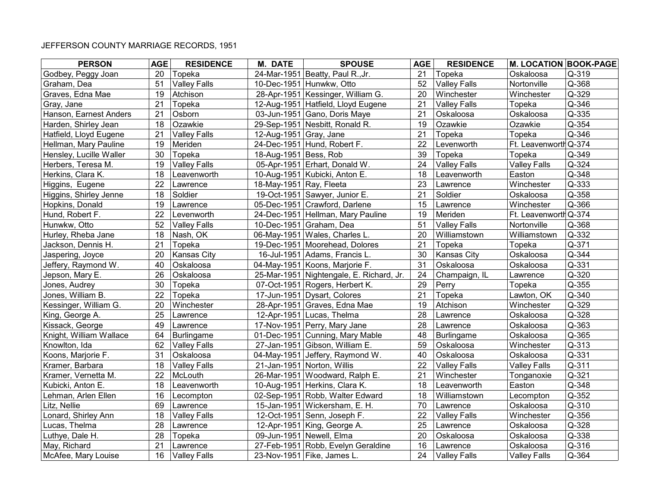| <b>PERSON</b>           | <b>AGE</b> | <b>RESIDENCE</b>    | <b>M. DATE</b>          | <b>SPOUSE</b>                            | <b>AGE</b> | <b>RESIDENCE</b>    | <b>M. LOCATION BOOK-PAGE</b> |           |
|-------------------------|------------|---------------------|-------------------------|------------------------------------------|------------|---------------------|------------------------------|-----------|
| Godbey, Peggy Joan      | 20         | Topeka              |                         | 24-Mar-1951 Beatty, Paul R., Jr.         | 21         | Topeka              | Oskaloosa                    | Q-319     |
| Graham, Dea             | 51         | <b>Valley Falls</b> |                         | 10-Dec-1951 Hunwkw, Otto                 | 52         | <b>Valley Falls</b> | Nortonville                  | Q-368     |
| Graves, Edna Mae        | 19         | Atchison            |                         | 28-Apr-1951 Kessinger, William G.        | 20         | Winchester          | Winchester                   | Q-329     |
| Gray, Jane              | 21         | Topeka              |                         | 12-Aug-1951 Hatfield, Lloyd Eugene       | 21         | <b>Valley Falls</b> | Topeka                       | Q-346     |
| Hanson, Earnest Anders  | 21         | Osborn              |                         | 03-Jun-1951 Gano, Doris Maye             | 21         | Oskaloosa           | Oskaloosa                    | Q-335     |
| Harden, Shirley Jean    | 18         | Ozawkie             |                         | 29-Sep-1951 Nesbitt, Ronald R.           | 19         | Ozawkie             | Ozawkie                      | Q-354     |
| Hatfield, Lloyd Eugene  | 21         | <b>Valley Falls</b> | 12-Aug-1951 Gray, Jane  |                                          | 21         | Topeka              | Topeka                       | Q-346     |
| Hellman, Mary Pauline   | 19         | Meriden             |                         | 24-Dec-1951 Hund, Robert F.              | 22         | Levenworth          | Ft. Leavenworth Q-374        |           |
| Hensley, Lucille Waller | 30         | Topeka              | 18-Aug-1951 Bess, Rob   |                                          | 39         | Topeka              | Topeka                       | Q-349     |
| Herbers, Teresa M.      | 19         | <b>Valley Falls</b> |                         | 05-Apr-1951 Erhart, Donald W.            | 24         | <b>Valley Falls</b> | <b>Valley Falls</b>          | Q-324     |
| Herkins, Clara K.       | 18         | Leavenworth         |                         | 10-Aug-1951 Kubicki, Anton E.            | 18         | Leavenworth         | Easton                       | Q-348     |
| Higgins, Eugene         | 22         | Lawrence            | 18-May-1951 Ray, Fleeta |                                          | 23         | Lawrence            | Winchester                   | Q-333     |
| Higgins, Shirley Jenne  | 18         | Soldier             |                         | 19-Oct-1951 Sawyer, Junior E.            | 21         | Soldier             | Oskaloosa                    | Q-358     |
| Hopkins, Donald         | 19         | Lawrence            |                         | 05-Dec-1951 Crawford, Darlene            | 15         | Lawrence            | Winchester                   | Q-366     |
| Hund, Robert F.         | 22         | Levenworth          |                         | 24-Dec-1951 Hellman, Mary Pauline        | 19         | Meriden             | Ft. Leavenworth Q-374        |           |
| Hunwkw, Otto            | 52         | <b>Valley Falls</b> |                         | 10-Dec-1951 Graham, Dea                  | 51         | <b>Valley Falls</b> | Nortonville                  | Q-368     |
| Hurley, Rheba Jane      | 18         | Nash, OK            |                         | 06-May-1951 Wales, Charles L.            | 20         | Williamstown        | Williamstown                 | Q-332     |
| Jackson, Dennis H.      | 21         | Topeka              |                         | 19-Dec-1951 Moorehead, Dolores           | 21         | Topeka              | Topeka                       | Q-371     |
| Jaspering, Joyce        | 20         | Kansas City         |                         | 16-Jul-1951 Adams, Francis L.            | 30         | Kansas City         | Oskaloosa                    | Q-344     |
| Jeffery, Raymond W.     | 40         | Oskaloosa           |                         | 04-May-1951 Koons, Marjorie F.           | 31         | Oskaloosa           | Oskaloosa                    | Q-331     |
| Jepson, Mary E.         | 26         | Oskaloosa           |                         | 25-Mar-1951 Nightengale, E. Richard, Jr. | 24         | Champaign, IL       | Lawrence                     | Q-320     |
| Jones, Audrey           | 30         | Topeka              |                         | 07-Oct-1951 Rogers, Herbert K.           | 29         | Perry               | Topeka                       | Q-355     |
| Jones, William B.       | 22         | Topeka              |                         | 17-Jun-1951 Dysart, Colores              | 21         | Topeka              | Lawton, OK                   | Q-340     |
| Kessinger, William G.   | 20         | Winchester          |                         | 28-Apr-1951 Graves, Edna Mae             | 19         | Atchison            | Winchester                   | Q-329     |
| King, George A.         | 25         | Lawrence            |                         | 12-Apr-1951 Lucas, Thelma                | 28         | Lawrence            | Oskaloosa                    | Q-328     |
| Kissack, George         | 49         | Lawrence            |                         | 17-Nov-1951 Perry, Mary Jane             | 28         | Lawrence            | Oskaloosa                    | Q-363     |
| Knight, William Wallace | 64         | <b>Burlingame</b>   |                         | 01-Dec-1951 Cunning, Mary Mable          | 48         | <b>Burlingame</b>   | Oskaloosa                    | Q-365     |
| Knowlton, Ida           | 62         | <b>Valley Falls</b> |                         | 27-Jan-1951 Gibson, William E.           | 59         | Oskaloosa           | Winchester                   | Q-313     |
| Koons, Marjorie F.      | 31         | Oskaloosa           |                         | 04-May-1951 Jeffery, Raymond W.          | 40         | Oskaloosa           | Oskaloosa                    | Q-331     |
| Kramer, Barbara         | 18         | <b>Valley Falls</b> |                         | 21-Jan-1951 Norton, Willis               | 22         | <b>Valley Falls</b> | <b>Valley Falls</b>          | Q-311     |
| Kramer, Vernetta M.     | 22         | McLouth             |                         | 26-Mar-1951 Woodward, Ralph E.           | 21         | Winchester          | Tonganoxie                   | $Q - 321$ |
| Kubicki, Anton E.       | 18         | Leavenworth         |                         | 10-Aug-1951 Herkins, Clara K.            | 18         | Leavenworth         | Easton                       | Q-348     |
| Lehman, Arlen Ellen     | 16         | Lecompton           |                         | 02-Sep-1951 Robb, Walter Edward          | 18         | Williamstown        | Lecompton                    | Q-352     |
| Litz, Nellie            | 69         | Lawrence            |                         | 15-Jan-1951 Wickersham, E. H.            | 70         | Lawrence            | Oskaloosa                    | Q-310     |
| Lonard, Shirley Ann     | 18         | <b>Valley Falls</b> |                         | 12-Oct-1951 Senn, Joseph F.              | 22         | <b>Valley Falls</b> | Winchester                   | Q-356     |
| Lucas, Thelma           | 28         | Lawrence            |                         | 12-Apr-1951 King, George A.              | 25         | Lawrence            | Oskaloosa                    | Q-328     |
| Luthye, Dale H.         | 28         | Topeka              |                         | 09-Jun-1951 Newell, Elma                 | 20         | Oskaloosa           | Oskaloosa                    | Q-338     |
| May, Richard            | 21         | Lawrence            |                         | 27-Feb-1951 Robb, Evelyn Geraldine       | 16         | Lawrence            | Oskaloosa                    | Q-316     |
| McAfee, Mary Louise     | 16         | <b>Valley Falls</b> |                         | 23-Nov-1951 Fike, James L.               | 24         | <b>Valley Falls</b> | <b>Valley Falls</b>          | Q-364     |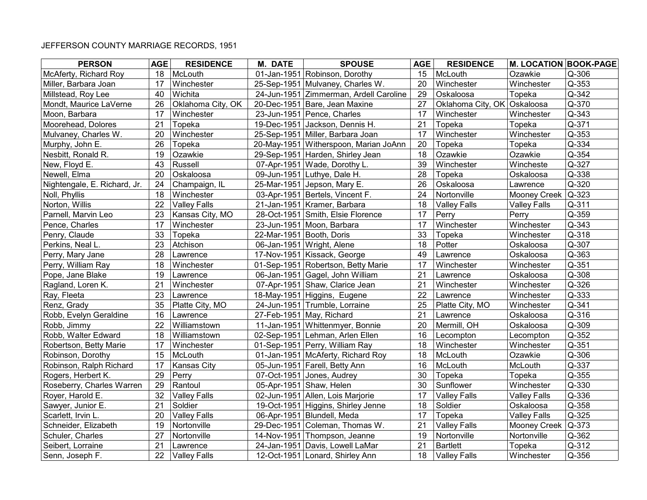| <b>PERSON</b>                | <b>AGE</b> | <b>RESIDENCE</b>    | <b>M. DATE</b>           | <b>SPOUSE</b>                          | <b>AGE</b> | <b>RESIDENCE</b>            | <b>M. LOCATION BOOK-PAGE</b> |           |
|------------------------------|------------|---------------------|--------------------------|----------------------------------------|------------|-----------------------------|------------------------------|-----------|
| McAferty, Richard Roy        | 18         | McLouth             |                          | 01-Jan-1951 Robinson, Dorothy          | 15         | McLouth                     | Ozawkie                      | Q-306     |
| Miller, Barbara Joan         | 17         | Winchester          |                          | 25-Sep-1951 Mulvaney, Charles W.       | 20         | Winchester                  | Winchester                   | Q-353     |
| Millstead, Roy Lee           | 40         | Wichita             |                          | 24-Jun-1951 Zimmerman, Ardell Caroline | 29         | Oskaloosa                   | Topeka                       | Q-342     |
| Mondt, Maurice LaVerne       | 26         | Oklahoma City, OK   |                          | 20-Dec-1951 Bare, Jean Maxine          | 27         | Oklahoma City, OK Oskaloosa |                              | Q-370     |
| Moon, Barbara                | 17         | Winchester          |                          | 23-Jun-1951 Pence, Charles             | 17         | Winchester                  | Winchester                   | Q-343     |
| Moorehead, Dolores           | 21         | Topeka              |                          | 19-Dec-1951 Jackson, Dennis H.         | 21         | Topeka                      | Topeka                       | Q-371     |
| Mulvaney, Charles W.         | 20         | Winchester          |                          | 25-Sep-1951 Miller, Barbara Joan       | 17         | Winchester                  | Winchester                   | Q-353     |
| Murphy, John E.              | 26         | Topeka              |                          | 20-May-1951 Witherspoon, Marian JoAnn  | 20         | Topeka                      | Topeka                       | Q-334     |
| Nesbitt, Ronald R.           | 19         | Ozawkie             |                          | 29-Sep-1951 Harden, Shirley Jean       | 18         | Ozawkie                     | Ozawkie                      | Q-354     |
| New, Floyd E.                | 43         | Russell             |                          | 07-Apr-1951 Wade, Dorothy L.           | 39         | Winchester                  | Wincheste                    | Q-327     |
| Newell, Elma                 | 20         | Oskaloosa           |                          | 09-Jun-1951 Luthye, Dale H.            | 28         | Topeka                      | Oskaloosa                    | Q-338     |
| Nightengale, E. Richard, Jr. | 24         | Champaign, IL       |                          | 25-Mar-1951 Jepson, Mary E.            | 26         | Oskaloosa                   | Lawrence                     | Q-320     |
| Noll, Phyllis                | 18         | Winchester          |                          | 03-Apr-1951 Bertels, Vincent F.        | 24         | Nortonville                 | Mooney Creek                 | $Q - 323$ |
| Norton, Willis               | 22         | <b>Valley Falls</b> |                          | 21-Jan-1951 Kramer, Barbara            | 18         | <b>Valley Falls</b>         | <b>Valley Falls</b>          | Q-311     |
| Parnell, Marvin Leo          | 23         | Kansas City, MO     |                          | 28-Oct-1951 Smith, Elsie Florence      | 17         | Perry                       | Perry                        | Q-359     |
| Pence, Charles               | 17         | Winchester          |                          | 23-Jun-1951 Moon, Barbara              | 17         | Winchester                  | Winchester                   | Q-343     |
| Penry, Claude                | 33         | Topeka              | 22-Mar-1951 Booth, Doris |                                        | 33         | Topeka                      | Winchester                   | Q-318     |
| Perkins, Neal L.             | 23         | Atchison            |                          | 06-Jan-1951 Wright, Alene              | 18         | Potter                      | Oskaloosa                    | Q-307     |
| Perry, Mary Jane             | 28         | Lawrence            |                          | 17-Nov-1951 Kissack, George            | 49         | Lawrence                    | Oskaloosa                    | Q-363     |
| Perry, William Ray           | 18         | Winchester          |                          | 01-Sep-1951 Robertson, Betty Marie     | 17         | Winchester                  | Winchester                   | Q-351     |
| Pope, Jane Blake             | 19         | Lawrence            |                          | 06-Jan-1951 Gagel, John William        | 21         | Lawrence                    | Oskaloosa                    | Q-308     |
| Ragland, Loren K.            | 21         | Winchester          |                          | 07-Apr-1951 Shaw, Clarice Jean         | 21         | Winchester                  | Winchester                   | Q-326     |
| Ray, Fleeta                  | 23         | Lawrence            |                          | 18-May-1951 Higgins, Eugene            | 22         | Lawrence                    | Winchester                   | Q-333     |
| Renz, Grady                  | 35         | Platte City, MO     |                          | 24-Jun-1951 Trumble, Lorraine          | 25         | Platte City, MO             | Winchester                   | Q-341     |
| Robb, Evelyn Geraldine       | 16         | Lawrence            |                          | 27-Feb-1951 May, Richard               | 21         | Lawrence                    | Oskaloosa                    | Q-316     |
| Robb, Jimmy                  | 22         | Williamstown        |                          | 11-Jan-1951 Whittenmyer, Bonnie        | 20         | Mermill, OH                 | Oskaloosa                    | Q-309     |
| Robb, Walter Edward          | 18         | Williamstown        |                          | 02-Sep-1951 Lehman, Arlen Ellen        | 16         | Lecompton                   | Lecompton                    | Q-352     |
| Robertson, Betty Marie       | 17         | Winchester          |                          | 01-Sep-1951 Perry, William Ray         | 18         | Winchester                  | Winchester                   | Q-351     |
| Robinson, Dorothy            | 15         | McLouth             |                          | 01-Jan-1951 McAferty, Richard Roy      | 18         | McLouth                     | Ozawkie                      | Q-306     |
| Robinson, Ralph Richard      | 17         | Kansas City         |                          | 05-Jun-1951 Farell, Betty Ann          | 16         | McLouth                     | McLouth                      | Q-337     |
| Rogers, Herbert K.           | 29         | Perry               |                          | 07-Oct-1951 Jones, Audrey              | 30         | Topeka                      | Topeka                       | Q-355     |
| Roseberry, Charles Warren    | 29         | Rantoul             |                          | 05-Apr-1951 Shaw, Helen                | 30         | Sunflower                   | Winchester                   | Q-330     |
| Royer, Harold E.             | 32         | <b>Valley Falls</b> |                          | 02-Jun-1951 Allen, Lois Marjorie       | 17         | <b>Valley Falls</b>         | <b>Valley Falls</b>          | Q-336     |
| Sawyer, Junior E.            | 21         | Soldier             |                          | 19-Oct-1951 Higgins, Shirley Jenne     | 18         | Soldier                     | Oskaloosa                    | Q-358     |
| Scarlett, Irvin L.           | 20         | <b>Valley Falls</b> |                          | 06-Apr-1951 Blundell, Meda             | 17         | Topeka                      | <b>Valley Falls</b>          | Q-325     |
| Schneider, Elizabeth         | 19         | Nortonville         |                          | 29-Dec-1951 Coleman, Thomas W.         | 21         | <b>Valley Falls</b>         | <b>Mooney Creek</b>          | $Q - 373$ |
| Schuler, Charles             | 27         | Nortonville         |                          | 14-Nov-1951 Thompson, Jeanne           | 19         | Nortonville                 | Nortonville                  | Q-362     |
| Seibert, Lorraine            | 21         | Lawrence            |                          | 24-Jan-1951 Davis, Lowell LaMar        | 21         | <b>Bartlett</b>             | Topeka                       | Q-312     |
| Senn, Joseph F.              | 22         | <b>Valley Falls</b> |                          | 12-Oct-1951 Lonard, Shirley Ann        | 18         | <b>Valley Falls</b>         | Winchester                   | Q-356     |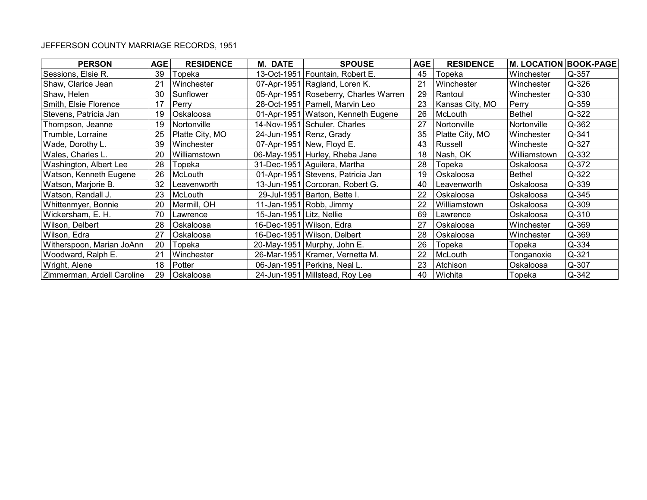| <b>PERSON</b>              | <b>AGE</b> | <b>RESIDENCE</b> | <b>M. DATE</b>           | <b>SPOUSE</b>                         | <b>AGE</b> | <b>RESIDENCE</b> | <b>M. LOCATION BOOK-PAGE</b> |           |
|----------------------------|------------|------------------|--------------------------|---------------------------------------|------------|------------------|------------------------------|-----------|
| Sessions, Elsie R.         | 39         | Topeka           |                          | 13-Oct-1951 Fountain, Robert E.       | 45         | Topeka           | Winchester                   | Q-357     |
| Shaw, Clarice Jean         | 21         | Winchester       |                          | 07-Apr-1951 Ragland, Loren K.         | 21         | Winchester       | Winchester                   | Q-326     |
| Shaw, Helen                | 30         | Sunflower        |                          | 05-Apr-1951 Roseberry, Charles Warren | 29         | Rantoul          | Winchester                   | Q-330     |
| Smith, Elsie Florence      | 17         | Perry            |                          | 28-Oct-1951 Parnell, Marvin Leo       | 23         | Kansas City, MO  | Perry                        | Q-359     |
| Stevens, Patricia Jan      | 19         | Oskaloosa        |                          | 01-Apr-1951   Watson, Kenneth Eugene  | 26         | McLouth          | <b>Bethel</b>                | $Q - 322$ |
| Thompson, Jeanne           | 19         | Nortonville      |                          | 14-Nov-1951 Schuler, Charles          | 27         | Nortonville      | Nortonville                  | Q-362     |
| Trumble, Lorraine          | 25         | Platte City, MO  |                          | 24-Jun-1951 Renz, Grady               | 35         | Platte City, MO  | Winchester                   | Q-341     |
| Wade, Dorothy L.           | 39         | Winchester       |                          | 07-Apr-1951 New, Floyd E.             | 43         | Russell          | Wincheste                    | Q-327     |
| Wales, Charles L.          | 20         | Williamstown     |                          | 06-May-1951 Hurley, Rheba Jane        | 18         | Nash, OK         | Williamstown                 | $Q - 332$ |
| Washington, Albert Lee     | 28         | Topeka           |                          | 31-Dec-1951 Aguilera, Martha          | 28         | Topeka           | Oskaloosa                    | Q-372     |
| Watson, Kenneth Eugene     | 26         | McLouth          |                          | 01-Apr-1951 Stevens, Patricia Jan     | 19         | Oskaloosa        | <b>Bethel</b>                | Q-322     |
| Watson, Marjorie B.        | 32         | Leavenworth      |                          | 13-Jun-1951 Corcoran, Robert G.       | 40         | Leavenworth      | Oskaloosa                    | Q-339     |
| Watson, Randall J.         | 23         | McLouth          |                          | 29-Jul-1951 Barton, Bette I.          | 22         | Oskaloosa        | Oskaloosa                    | Q-345     |
| Whittenmyer, Bonnie        | 20         | Mermill, OH      |                          | 11-Jan-1951 Robb, Jimmy               | 22         | Williamstown     | Oskaloosa                    | Q-309     |
| Wickersham, E. H.          | 70         | Lawrence         | 15-Jan-1951 Litz, Nellie |                                       | 69         | Lawrence         | Oskaloosa                    | Q-310     |
| Wilson, Delbert            | 28         | Oskaloosa        |                          | 16-Dec-1951 Wilson, Edra              | 27         | Oskaloosa        | Winchester                   | Q-369     |
| Wilson, Edra               | 27         | Oskaloosa        |                          | 16-Dec-1951 Wilson, Delbert           | 28         | Oskaloosa        | Winchester                   | Q-369     |
| Witherspoon, Marian JoAnn  | 20         | Topeka           |                          | 20-May-1951 Murphy, John E.           | 26         | Topeka           | Topeka                       | Q-334     |
| Woodward, Ralph E.         | 21         | Winchester       |                          | 26-Mar-1951   Kramer, Vernetta M.     | 22         | McLouth          | Tonganoxie                   | $Q - 321$ |
| Wright, Alene              | 18         | Potter           |                          | 06-Jan-1951 Perkins, Neal L.          | 23         | Atchison         | Oskaloosa                    | Q-307     |
| Zimmerman, Ardell Caroline | 29         | Oskaloosa        |                          | 24-Jun-1951 Millstead, Roy Lee        | 40         | Wichita          | Topeka                       | Q-342     |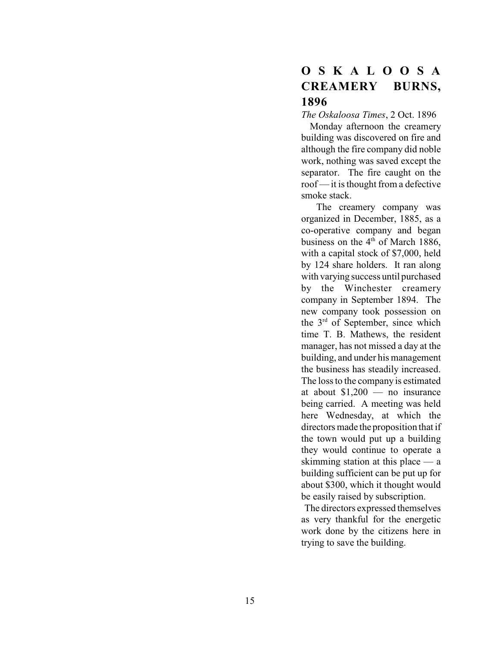# **O S K A L O O S A CREAMERY**<br>1896

 $1870$ <br>The Os *The Oskaloosa Times*, 2 Oct. 1896

 Monday afternoon the creamery building was discovered on fire and although the fire company did noble work, nothing was saved except the separator. The fire caught on the roof — it is thought from a defective smoke stack.

 The creamery company was organized in December, 1885, as a co-operative company and began business on the  $4<sup>th</sup>$  of March 1886, with a capital stock of \$7,000, held by 124 share holders. It ran along with varying success until purchased by the Winchester creamery company in September 1894. The new company took possession on the  $3<sup>rd</sup>$  of September, since which time T. B. Mathews, the resident manager, has not missed a day at the building, and under his management the business has steadily increased. The loss to the company is estimated at about \$1,200 — no insurance being carried. A meeting was held here Wednesday, at which the directors made the proposition that if the town would put up a building they would continue to operate a skimming station at this place — a building sufficient can be put up for about \$300, which it thought would be easily raised by subscription.

 The directors expressed themselves as very thankful for the energetic work done by the citizens here in trying to save the building.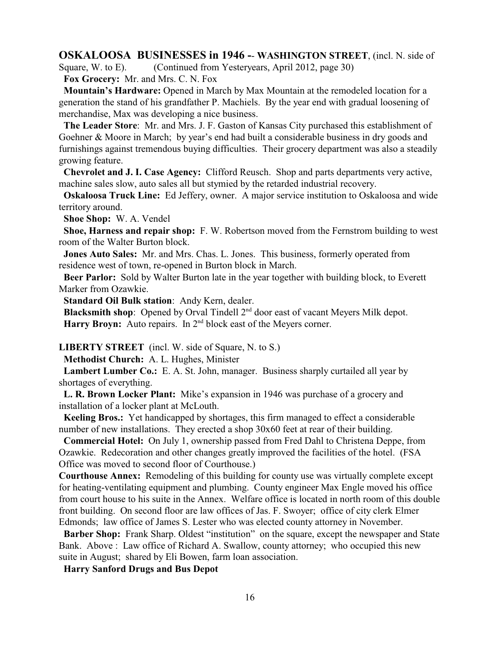#### **OSKALOOSA BUSINESSES in 1946 -**- **WASHINGTON STREET**, (incl. N. side of

Square, W. to E). (Continued from Yesteryears, April 2012, page 30)

**Fox Grocery:** Mr. and Mrs. C. N. Fox

 **Mountain's Hardware:** Opened in March by Max Mountain at the remodeled location for a generation the stand of his grandfather P. Machiels. By the year end with gradual loosening of merchandise, Max was developing a nice business.

 **The Leader Store**: Mr. and Mrs. J. F. Gaston of Kansas City purchased this establishment of Goehner & Moore in March; by year's end had built a considerable business in dry goods and furnishings against tremendous buying difficulties. Their grocery department was also a steadily growing feature.

 **Chevrolet and J. I. Case Agency:** Clifford Reusch. Shop and parts departments very active, machine sales slow, auto sales all but stymied by the retarded industrial recovery.

 **Oskaloosa Truck Line:** Ed Jeffery, owner. A major service institution to Oskaloosa and wide territory around.

**Shoe Shop:** W. A. Vendel

 **Shoe, Harness and repair shop:** F. W. Robertson moved from the Fernstrom building to west room of the Walter Burton block.

 **Jones Auto Sales:** Mr. and Mrs. Chas. L. Jones. This business, formerly operated from residence west of town, re-opened in Burton block in March.

 **Beer Parlor:** Sold by Walter Burton late in the year together with building block, to Everett Marker from Ozawkie.

**Standard Oil Bulk station**: Andy Kern, dealer.

**Blacksmith shop**: Opened by Orval Tindell 2<sup>nd</sup> door east of vacant Meyers Milk depot. Harry Broyn: Auto repairs. In 2<sup>nd</sup> block east of the Meyers corner.

**LIBERTY STREET** (incl. W. side of Square, N. to S.)

**Methodist Church:** A. L. Hughes, Minister

 **Lambert Lumber Co.:** E. A. St. John, manager. Business sharply curtailed all year by shortages of everything.

 **L. R. Brown Locker Plant:** Mike's expansion in 1946 was purchase of a grocery and installation of a locker plant at McLouth.

 **Keeling Bros.:** Yet handicapped by shortages, this firm managed to effect a considerable number of new installations. They erected a shop 30x60 feet at rear of their building.

 **Commercial Hotel:** On July 1, ownership passed from Fred Dahl to Christena Deppe, from Ozawkie. Redecoration and other changes greatly improved the facilities of the hotel. (FSA Office was moved to second floor of Courthouse.)

**Courthouse Annex:** Remodeling of this building for county use was virtually complete except for heating-ventilating equipment and plumbing. County engineer Max Engle moved his office from court house to his suite in the Annex. Welfare office is located in north room of this double front building. On second floor are law offices of Jas. F. Swoyer; office of city clerk Elmer Edmonds; law office of James S. Lester who was elected county attorney in November.

Barber Shop: Frank Sharp. Oldest "institution" on the square, except the newspaper and State Bank. Above : Law office of Richard A. Swallow, county attorney; who occupied this new suite in August; shared by Eli Bowen, farm loan association.

**Harry Sanford Drugs and Bus Depot**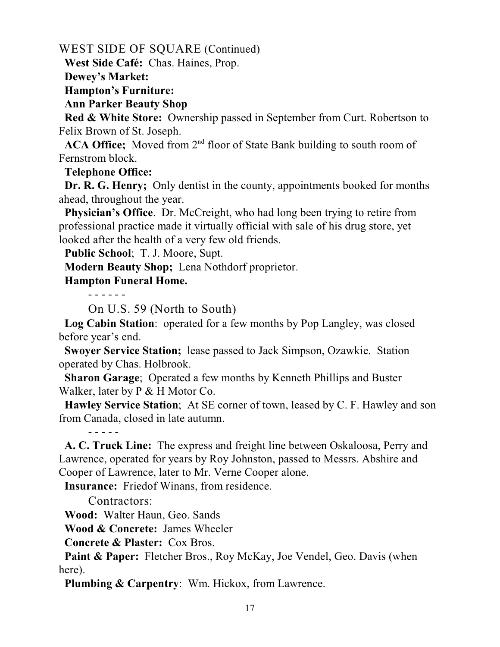WEST SIDE OF SQUARE (Continued)

 **West Side Café:** Chas. Haines, Prop.

**Dewey's Market:**

 **Hampton's Furniture:**

 **Ann Parker Beauty Shop**

 **Red & White Store:** Ownership passed in September from Curt. Robertson to Felix Brown of St. Joseph.

**ACA Office;** Moved from  $2<sup>nd</sup>$  floor of State Bank building to south room of Fernstrom block.

**Telephone Office:**

 **Dr. R. G. Henry;** Only dentist in the county, appointments booked for months ahead, throughout the year.

**Physician's Office.** Dr. McCreight, who had long been trying to retire from professional practice made it virtually official with sale of his drug store, yet looked after the health of a very few old friends.

**Public School**; T. J. Moore, Supt.

**Modern Beauty Shop;** Lena Nothdorf proprietor.

## **Hampton Funeral Home.**

- - - - - -

On U.S. 59 (North to South)

 **Log Cabin Station**: operated for a few months by Pop Langley, was closed before year's end.

 **Swoyer Service Station;** lease passed to Jack Simpson, Ozawkie. Station operated by Chas. Holbrook.

 **Sharon Garage**; Operated a few months by Kenneth Phillips and Buster Walker, later by P & H Motor Co.

 **Hawley Service Station**; At SE corner of town, leased by C. F. Hawley and son from Canada, closed in late autumn.

 **A. C. Truck Line:** The express and freight line between Oskaloosa, Perry and Lawrence, operated for years by Roy Johnston, passed to Messrs. Abshire and Cooper of Lawrence, later to Mr. Verne Cooper alone.

**Insurance:** Friedof Winans, from residence.

Contractors:

- - - - -

**Wood:** Walter Haun, Geo. Sands

**Wood & Concrete:** James Wheeler

**Concrete & Plaster:** Cox Bros.

**Paint & Paper:** Fletcher Bros., Roy McKay, Joe Vendel, Geo. Davis (when here).

**Plumbing & Carpentry**: Wm. Hickox, from Lawrence.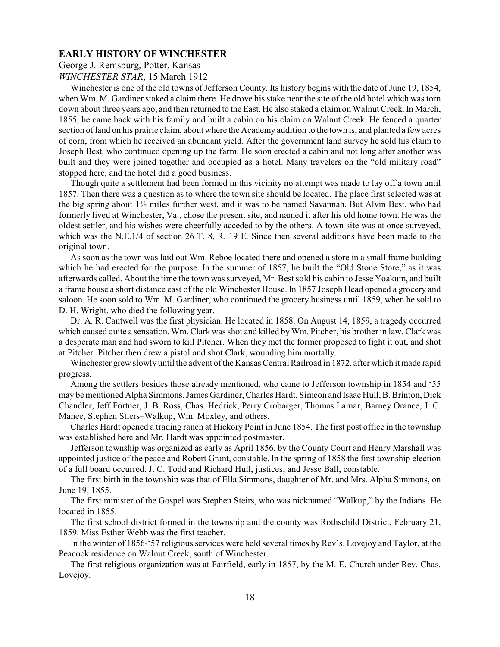**EARLY HISTORY OF WINCHESTER** George J. Remsburg, Potter, Kansas *WINCHESTER STAR*, 15 March 1912

Winchester is one of the old towns of Jefferson County. Its history begins with the date of June 19, 1854, when Wm. M. Gardiner staked a claim there. He drove his stake near the site of the old hotel which was torn down about three years ago, and then returned to the East. He also staked a claim on Walnut Creek. In March, 1855, he came back with his family and built a cabin on his claim on Walnut Creek. He fenced a quarter section of land on his prairie claim, about where the Academy addition to the town is, and planted a few acres of corn, from which he received an abundant yield. After the government land survey he sold his claim to Joseph Best, who continued opening up the farm. He soon erected a cabin and not long after another was built and they were joined together and occupied as a hotel. Many travelers on the "old military road" stopped here, and the hotel did a good business.

Though quite a settlement had been formed in this vicinity no attempt was made to lay off a town until 1857. Then there was a question as to where the town site should be located. The place first selected was at the big spring about  $1\frac{1}{2}$  miles further west, and it was to be named Savannah. But Alvin Best, who had formerly lived at Winchester, Va., chose the present site, and named it after his old home town. He was the oldest settler, and his wishes were cheerfully acceded to by the others. A town site was at once surveyed, which was the N.E.1/4 of section 26 T. 8, R. 19 E. Since then several additions have been made to the original town.

As soon as the town was laid out Wm. Reboe located there and opened a store in a small frame building which he had erected for the purpose. In the summer of 1857, he built the "Old Stone Store," as it was afterwards called. About the time the town was surveyed, Mr. Best sold his cabin to Jesse Yoakum, and built a frame house a short distance east of the old Winchester House. In 1857 Joseph Head opened a grocery and saloon. He soon sold to Wm. M. Gardiner, who continued the grocery business until 1859, when he sold to D. H. Wright, who died the following year.

Dr. A. R. Cantwell was the first physician. He located in 1858. On August 14, 1859, a tragedy occurred which caused quite a sensation. Wm. Clark was shot and killed by Wm. Pitcher, his brother in law. Clark was a desperate man and had sworn to kill Pitcher. When they met the former proposed to fight it out, and shot at Pitcher. Pitcher then drew a pistol and shot Clark, wounding him mortally.

Winchester grew slowly until the advent of the Kansas Central Railroad in 1872, after which it made rapid progress.

Among the settlers besides those already mentioned, who came to Jefferson township in 1854 and '55 may be mentioned Alpha Simmons, James Gardiner, Charles Hardt, Simeon and Isaac Hull, B. Brinton, Dick Chandler, Jeff Fortner, J. B. Ross, Chas. Hedrick, Perry Crobarger, Thomas Lamar, Barney Orance, J. C. Manee, Stephen Stiers–Walkup, Wm. Moxley, and others.

Charles Hardt opened a trading ranch at Hickory Point in June 1854. The first post office in the township was established here and Mr. Hardt was appointed postmaster.

Jefferson township was organized as early as April 1856, by the County Court and Henry Marshall was appointed justice of the peace and Robert Grant, constable. In the spring of 1858 the first township election of a full board occurred. J. C. Todd and Richard Hull, justices; and Jesse Ball, constable.

The first birth in the township was that of Ella Simmons, daughter of Mr. and Mrs. Alpha Simmons, on June 19, 1855.

The first minister of the Gospel was Stephen Steirs, who was nicknamed "Walkup," by the Indians. He located in 1855.

The first school district formed in the township and the county was Rothschild District, February 21, 1859. Miss Esther Webb was the first teacher.

In the winter of 1856-'57 religious services were held several times by Rev's. Lovejoy and Taylor, at the Peacock residence on Walnut Creek, south of Winchester.

The first religious organization was at Fairfield, early in 1857, by the M. E. Church under Rev. Chas. Lovejoy.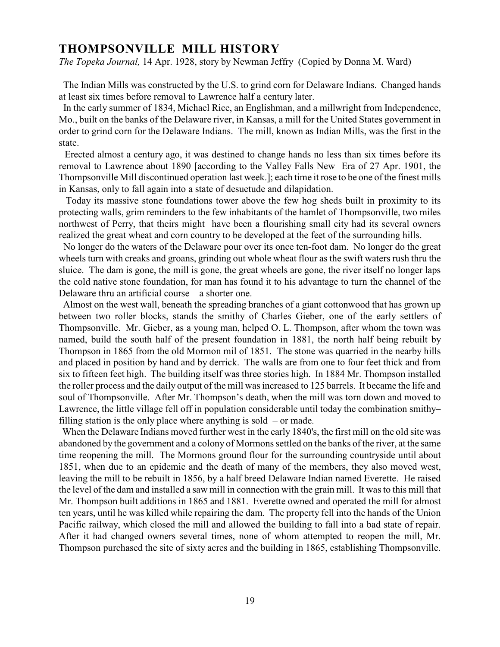**THOMPSONVILLE MILL HISTORY**<br>The Topeka Lournal 14 Apr 1928 story by Newman Le *The Topeka Journal,* 14 Apr. 1928, story by Newman Jeffry (Copied by Donna M. Ward)

 The Indian Mills was constructed by the U.S. to grind corn for Delaware Indians. Changed hands at least six times before removal to Lawrence half a century later.

 In the early summer of 1834, Michael Rice, an Englishman, and a millwright from Independence, Mo., built on the banks of the Delaware river, in Kansas, a mill for the United States government in order to grind corn for the Delaware Indians. The mill, known as Indian Mills, was the first in the state.

 Erected almost a century ago, it was destined to change hands no less than six times before its removal to Lawrence about 1890 [according to the Valley Falls New Era of 27 Apr. 1901, the Thompsonville Mill discontinued operation last week.]; each time it rose to be one of the finest mills in Kansas, only to fall again into a state of desuetude and dilapidation.

 Today its massive stone foundations tower above the few hog sheds built in proximity to its protecting walls, grim reminders to the few inhabitants of the hamlet of Thompsonville, two miles northwest of Perry, that theirs might have been a flourishing small city had its several owners realized the great wheat and corn country to be developed at the feet of the surrounding hills.

 No longer do the waters of the Delaware pour over its once ten-foot dam. No longer do the great wheels turn with creaks and groans, grinding out whole wheat flour as the swift waters rush thru the sluice. The dam is gone, the mill is gone, the great wheels are gone, the river itself no longer laps the cold native stone foundation, for man has found it to his advantage to turn the channel of the Delaware thru an artificial course – a shorter one.

 Almost on the west wall, beneath the spreading branches of a giant cottonwood that has grown up between two roller blocks, stands the smithy of Charles Gieber, one of the early settlers of Thompsonville. Mr. Gieber, as a young man, helped O. L. Thompson, after whom the town was named, build the south half of the present foundation in 1881, the north half being rebuilt by Thompson in 1865 from the old Mormon mil of 1851. The stone was quarried in the nearby hills and placed in position by hand and by derrick. The walls are from one to four feet thick and from six to fifteen feet high. The building itself was three stories high. In 1884 Mr. Thompson installed the roller process and the daily output of the mill was increased to 125 barrels. It became the life and soul of Thompsonville. After Mr. Thompson's death, when the mill was torn down and moved to Lawrence, the little village fell off in population considerable until today the combination smithy– filling station is the only place where anything is sold  $-$  or made.

 When the Delaware Indians moved further west in the early 1840's, the first mill on the old site was abandoned by the government and a colony of Mormons settled on the banks of the river, at the same time reopening the mill. The Mormons ground flour for the surrounding countryside until about 1851, when due to an epidemic and the death of many of the members, they also moved west, leaving the mill to be rebuilt in 1856, by a half breed Delaware Indian named Everette. He raised the level of the dam and installed a saw mill in connection with the grain mill. It was to this mill that Mr. Thompson built additions in 1865 and 1881. Everette owned and operated the mill for almost ten years, until he was killed while repairing the dam. The property fell into the hands of the Union Pacific railway, which closed the mill and allowed the building to fall into a bad state of repair. After it had changed owners several times, none of whom attempted to reopen the mill, Mr. Thompson purchased the site of sixty acres and the building in 1865, establishing Thompsonville.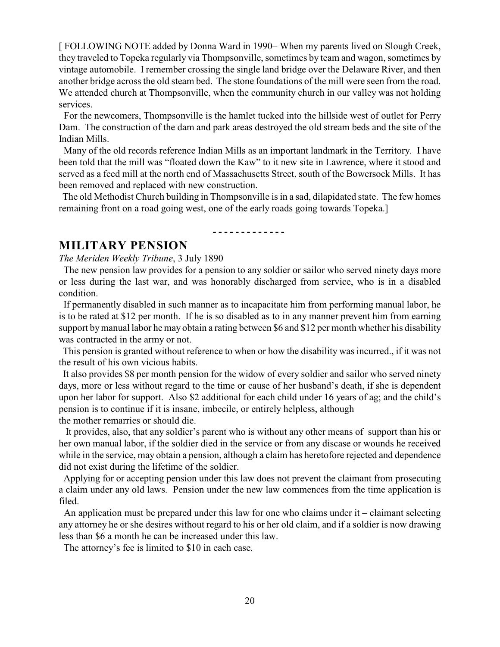[ FOLLOWING NOTE added by Donna Ward in 1990– When my parents lived on Slough Creek, they traveled to Topeka regularly via Thompsonville, sometimes by team and wagon, sometimes by vintage automobile. I remember crossing the single land bridge over the Delaware River, and then another bridge across the old steam bed. The stone foundations of the mill were seen from the road. We attended church at Thompsonville, when the community church in our valley was not holding services.

 For the newcomers, Thompsonville is the hamlet tucked into the hillside west of outlet for Perry Dam. The construction of the dam and park areas destroyed the old stream beds and the site of the Indian Mills.

 Many of the old records reference Indian Mills as an important landmark in the Territory. I have been told that the mill was "floated down the Kaw" to it new site in Lawrence, where it stood and served as a feed mill at the north end of Massachusetts Street, south of the Bowersock Mills. It has been removed and replaced with new construction.

The old Methodist Church building in Thompsonville is in a sad, dilapidated state. The few homes remaining front on a road going west, one of the early roads going towards Topeka.]

**- - - - - - - - - - - - -** 

*MILLITARY PENSION*<br>*The Meriden Weekh Tribune* 3.1 *The Meriden Weekly Tribune*, 3 July 1890

 The new pension law provides for a pension to any soldier or sailor who served ninety days more or less during the last war, and was honorably discharged from service, who is in a disabled condition.

 If permanently disabled in such manner as to incapacitate him from performing manual labor, he is to be rated at \$12 per month. If he is so disabled as to in any manner prevent him from earning support by manual labor he may obtain a rating between \$6 and \$12 per month whether his disability was contracted in the army or not.

 This pension is granted without reference to when or how the disability was incurred., if it was not the result of his own vicious habits.

 It also provides \$8 per month pension for the widow of every soldier and sailor who served ninety days, more or less without regard to the time or cause of her husband's death, if she is dependent upon her labor for support. Also \$2 additional for each child under 16 years of ag; and the child's pension is to continue if it is insane, imbecile, or entirely helpless, although the mother remarries or should die.

 It provides, also, that any soldier's parent who is without any other means of support than his or her own manual labor, if the soldier died in the service or from any discase or wounds he received while in the service, may obtain a pension, although a claim has heretofore rejected and dependence did not exist during the lifetime of the soldier.

 Applying for or accepting pension under this law does not prevent the claimant from prosecuting a claim under any old laws. Pension under the new law commences from the time application is filed.

 An application must be prepared under this law for one who claims under it – claimant selecting any attorney he or she desires without regard to his or her old claim, and if a soldier is now drawing less than \$6 a month he can be increased under this law.

The attorney's fee is limited to \$10 in each case.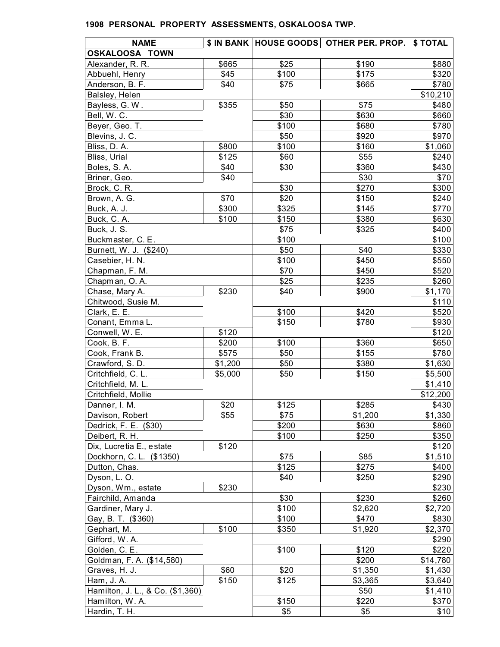| <b>NAME</b>                      |         |       | \$ IN BANK   HOUSE GOODS   OTHER PER. PROP. | \$ TOTAL |
|----------------------------------|---------|-------|---------------------------------------------|----------|
| OSKALOOSA TOWN                   |         |       |                                             |          |
| Alexander, R. R.                 | \$665   | \$25  | \$190                                       | \$880    |
| Abbuehl, Henry                   | \$45    | \$100 | \$175                                       | \$320    |
| Anderson, B. F.                  | \$40    | \$75  | \$665                                       | \$780    |
| Balsley, Helen                   |         |       |                                             | \$10,210 |
| Bayless, G. W.                   | \$355   | \$50  | \$75                                        | \$480    |
| Bell, W. C.                      |         | \$30  | \$630                                       | \$660    |
| Beyer, Geo. T.                   |         | \$100 | \$680                                       | \$780    |
| Blevins, J. C.                   |         | \$50  | \$920                                       | \$970    |
| Bliss, D. A.                     | \$800   | \$100 | \$160                                       | \$1,060  |
| Bliss, Urial                     | \$125   | \$60  | \$55                                        | \$240    |
| Boles, S.A.                      | \$40    | \$30  | \$360                                       | \$430    |
| Briner, Geo.                     | \$40    |       | \$30                                        | \$70     |
| Brock, C. R.                     |         | \$30  | \$270                                       | \$300    |
| Brown, A. G.                     | \$70    | \$20  | \$150                                       | \$240    |
| Buck, A. J.                      | \$300   | \$325 | \$145                                       | \$770    |
| Buck, C. A.                      | \$100   | \$150 | \$380                                       | \$630    |
| Buck, J. S.                      |         | \$75  | \$325                                       | \$400    |
| Buckmaster, C. E.                |         | \$100 |                                             | \$100    |
| Burnett, W. J. (\$240)           |         | \$50  | \$40                                        | \$330    |
| Casebier, H. N.                  |         | \$100 | \$450                                       | \$550    |
| Chapman, F. M.                   |         | \$70  | \$450                                       | \$520    |
| Chapman, O.A.                    |         | \$25  | \$235                                       | \$260    |
| Chase, Mary A.                   | \$230   | \$40  | \$900                                       | \$1,170  |
| Chitwood, Susie M.               |         |       |                                             | \$110    |
| Clark, E. E.                     |         | \$100 | \$420                                       | \$520    |
| Conant, Emma L.                  |         | \$150 | \$780                                       | \$930    |
| Conwell, W. E.                   | \$120   |       |                                             | \$120    |
| Cook, B. F.                      | \$200   | \$100 | \$360                                       | \$650    |
| Cook, Frank B.                   | \$575   | \$50  | \$155                                       | \$780    |
| Crawford, S.D.                   | \$1,200 | \$50  | \$380                                       | \$1,630  |
| Critchfield, C. L.               | \$5,000 | \$50  | \$150                                       | \$5,500  |
| Critchfield, M. L.               |         |       |                                             | \$1,410  |
| Critchfield, Mollie              |         |       |                                             | \$12,200 |
| Danner, I. M.                    | \$20    | \$125 | \$285                                       | \$430    |
| Davison, Robert                  | \$55    | \$75  | \$1,200                                     | \$1,330  |
| Dedrick, F. E. (\$30)            |         | \$200 | \$630                                       | \$860    |
| Deibert, R. H.                   |         | \$100 | \$250                                       | \$350    |
| Dix, Lucretia E., estate         | \$120   |       |                                             | \$120    |
| Dockhorn, C. L. (\$1350)         |         | \$75  | \$85                                        | \$1,510  |
| Dutton, Chas.                    |         | \$125 | \$275                                       | \$400    |
| Dyson, L.O.                      |         | \$40  | \$250                                       | \$290    |
| Dyson, Wm., estate               | \$230   |       |                                             | \$230    |
| Fairchild, Amanda                |         | \$30  | \$230                                       | \$260    |
| Gardiner, Mary J.                |         | \$100 | \$2,620                                     | \$2,720  |
| Gay, B. T. (\$360)               |         | \$100 | \$470                                       | \$830    |
| Gephart, M.                      | \$100   | \$350 | \$1,920                                     | \$2,370  |
| Gifford, W.A.                    |         |       |                                             | \$290    |
| Golden, C. E.                    |         | \$100 | \$120                                       | \$220    |
| Goldman, F. A. (\$14,580)        |         |       | \$200                                       | \$14,780 |
| Graves, H. J.                    | \$60    | \$20  | \$1,350                                     | \$1,430  |
| Ham, J. A.                       | \$150   | \$125 | \$3,365                                     | \$3,640  |
| Hamilton, J. L., & Co. (\$1,360) |         |       | \$50                                        | \$1,410  |
| Hamilton, W.A.                   |         | \$150 | \$220                                       | \$370    |
| Hardin, T. H.                    |         | \$5   | \$5                                         | \$10     |
|                                  |         |       |                                             |          |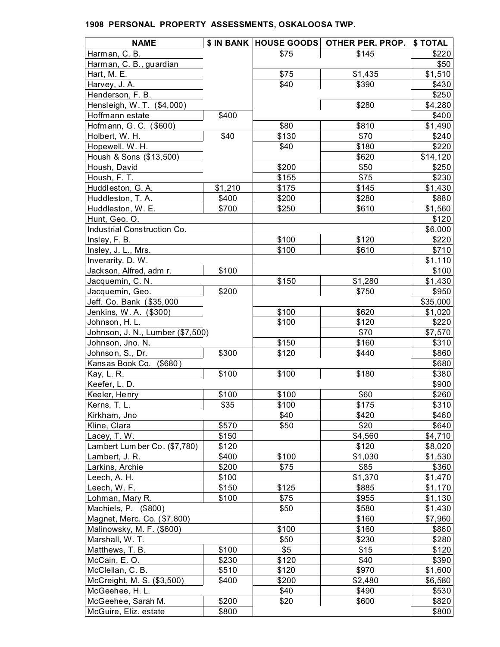| Harman, C. B.<br>\$75<br>\$145<br>\$220<br>\$50<br>Harman, C. B., guardian<br>\$75<br>\$1,510<br>Hart, M. E.<br>\$1,435<br>\$40<br>\$390<br>\$430<br>Harvey, J. A.<br>Henderson, F. B.<br>\$250<br>\$280<br>Hensleigh, W. T. (\$4,000)<br>\$4,280<br>\$400<br>\$400<br>Hoffmann estate<br>Hofmann, G. C. (\$600)<br>\$80<br>\$810<br>\$1,490<br>\$130<br>\$70<br>\$40<br>\$240<br>Holbert, W. H.<br>Hopewell, W. H.<br>\$40<br>\$180<br>\$220<br>Housh & Sons (\$13,500)<br>\$620<br>\$14,120<br>\$200<br>Housh, David<br>\$50<br>\$250<br>\$155<br>\$75<br>\$230<br>Housh, F. T.<br>Huddleston, G. A.<br>\$1,210<br>\$175<br>\$145<br>\$1,430<br>\$400<br>\$200<br>\$280<br>\$880<br>Huddleston, T. A.<br>\$700<br>\$250<br>\$610<br>\$1,560<br>Huddleston, W. E.<br>Hunt, Geo. O.<br>\$120<br>Industrial Construction Co.<br>\$6,000<br>\$100<br>\$120<br>\$220<br>Insley, F. B.<br>\$100<br>\$610<br>Insley, J. L., Mrs.<br>\$710<br>Inverarity, D. W.<br>\$1,110<br>Jackson, Alfred, adm r.<br>\$100<br>\$100<br>\$150<br>Jacquemin, C. N.<br>\$1,430<br>\$1,280<br>\$200<br>Jacquemin, Geo.<br>\$750<br>\$950<br>Jeff. Co. Bank (\$35,000<br>\$35,000<br>\$100<br>\$620<br>Jenkins, W. A. (\$300)<br>\$1,020<br>\$100<br>\$120<br>\$220<br>Johnson, H. L.<br>\$70<br>\$7,570<br>Johnson, J. N., Lumber (\$7,500)<br>\$160<br>\$150<br>\$310<br>Johnson, Jno. N.<br>\$300<br>\$120<br>\$440<br>\$860<br>Johnson, S., Dr.<br>Kansas Book Co. (\$680)<br>\$680<br>\$100<br>\$100<br>\$180<br>\$380<br>Kay, L. R.<br>\$900<br>Keefer, L. D.<br>\$260<br>\$100<br>\$100<br>\$60<br>Keeler, Henry<br>\$35<br>\$100<br>\$175<br>Kerns, T. L.<br>\$40<br>\$420<br>\$460<br>Kirkham, Jno<br>\$570<br>\$50<br>\$20<br>\$640<br>Kline, Clara<br>\$150<br>\$4,560<br>Lacey, T. W.<br>\$4,710<br>Lambert Lumber Co. (\$7,780)<br>\$120<br>\$120<br>\$8,020<br>Lambert, J. R.<br>\$400<br>\$100<br>\$1,030<br>\$1,530<br>\$200<br>\$75<br>\$85<br>\$360<br>Larkins, Archie<br>\$100<br>\$1,370<br>Leech, A. H.<br>\$1,470<br>\$150<br>\$125<br>\$885<br>Leech, W. F.<br>\$1,170<br>\$100<br>\$955<br>Lohman, Mary R.<br>\$75<br>\$1,130<br>\$580<br>Machiels, P. (\$800)<br>\$50<br>\$1,430<br>Magnet, Merc. Co. (\$7,800)<br>\$160<br>\$7,960<br>\$160<br>Malinowsky, M. F. (\$600)<br>\$100<br>\$860<br>\$50<br>\$230<br>\$280<br>Marshall, W. T.<br>\$5<br>\$100<br>\$15<br>\$120<br>Matthews, T. B.<br>McCain, E.O.<br>\$230<br>\$120<br>\$40<br>\$390<br>\$510<br>\$120<br>\$970<br>McClellan, C. B.<br>\$1,600<br>McCreight, M. S. (\$3,500)<br>\$400<br>\$200<br>\$2,480<br>\$6,580<br>\$40<br>\$490<br>\$530<br>McGeehee, H. L.<br>McGeehee, Sarah M.<br>\$200<br>\$600<br>\$20<br>\$820 | <b>NAME</b>           |       | \$ IN BANK  HOUSE GOODS   OTHER PER. PROP. | \$ TOTAL |
|-----------------------------------------------------------------------------------------------------------------------------------------------------------------------------------------------------------------------------------------------------------------------------------------------------------------------------------------------------------------------------------------------------------------------------------------------------------------------------------------------------------------------------------------------------------------------------------------------------------------------------------------------------------------------------------------------------------------------------------------------------------------------------------------------------------------------------------------------------------------------------------------------------------------------------------------------------------------------------------------------------------------------------------------------------------------------------------------------------------------------------------------------------------------------------------------------------------------------------------------------------------------------------------------------------------------------------------------------------------------------------------------------------------------------------------------------------------------------------------------------------------------------------------------------------------------------------------------------------------------------------------------------------------------------------------------------------------------------------------------------------------------------------------------------------------------------------------------------------------------------------------------------------------------------------------------------------------------------------------------------------------------------------------------------------------------------------------------------------------------------------------------------------------------------------------------------------------------------------------------------------------------------------------------------------------------------------------------------------------------------------------------------------------------------------------------------------------------------------------------------------------------------------------------------------------------------------------------------------------------------------------------------------------------------------------------|-----------------------|-------|--------------------------------------------|----------|
|                                                                                                                                                                                                                                                                                                                                                                                                                                                                                                                                                                                                                                                                                                                                                                                                                                                                                                                                                                                                                                                                                                                                                                                                                                                                                                                                                                                                                                                                                                                                                                                                                                                                                                                                                                                                                                                                                                                                                                                                                                                                                                                                                                                                                                                                                                                                                                                                                                                                                                                                                                                                                                                                                         |                       |       |                                            |          |
|                                                                                                                                                                                                                                                                                                                                                                                                                                                                                                                                                                                                                                                                                                                                                                                                                                                                                                                                                                                                                                                                                                                                                                                                                                                                                                                                                                                                                                                                                                                                                                                                                                                                                                                                                                                                                                                                                                                                                                                                                                                                                                                                                                                                                                                                                                                                                                                                                                                                                                                                                                                                                                                                                         |                       |       |                                            |          |
|                                                                                                                                                                                                                                                                                                                                                                                                                                                                                                                                                                                                                                                                                                                                                                                                                                                                                                                                                                                                                                                                                                                                                                                                                                                                                                                                                                                                                                                                                                                                                                                                                                                                                                                                                                                                                                                                                                                                                                                                                                                                                                                                                                                                                                                                                                                                                                                                                                                                                                                                                                                                                                                                                         |                       |       |                                            |          |
|                                                                                                                                                                                                                                                                                                                                                                                                                                                                                                                                                                                                                                                                                                                                                                                                                                                                                                                                                                                                                                                                                                                                                                                                                                                                                                                                                                                                                                                                                                                                                                                                                                                                                                                                                                                                                                                                                                                                                                                                                                                                                                                                                                                                                                                                                                                                                                                                                                                                                                                                                                                                                                                                                         |                       |       |                                            |          |
|                                                                                                                                                                                                                                                                                                                                                                                                                                                                                                                                                                                                                                                                                                                                                                                                                                                                                                                                                                                                                                                                                                                                                                                                                                                                                                                                                                                                                                                                                                                                                                                                                                                                                                                                                                                                                                                                                                                                                                                                                                                                                                                                                                                                                                                                                                                                                                                                                                                                                                                                                                                                                                                                                         |                       |       |                                            |          |
|                                                                                                                                                                                                                                                                                                                                                                                                                                                                                                                                                                                                                                                                                                                                                                                                                                                                                                                                                                                                                                                                                                                                                                                                                                                                                                                                                                                                                                                                                                                                                                                                                                                                                                                                                                                                                                                                                                                                                                                                                                                                                                                                                                                                                                                                                                                                                                                                                                                                                                                                                                                                                                                                                         |                       |       |                                            |          |
|                                                                                                                                                                                                                                                                                                                                                                                                                                                                                                                                                                                                                                                                                                                                                                                                                                                                                                                                                                                                                                                                                                                                                                                                                                                                                                                                                                                                                                                                                                                                                                                                                                                                                                                                                                                                                                                                                                                                                                                                                                                                                                                                                                                                                                                                                                                                                                                                                                                                                                                                                                                                                                                                                         |                       |       |                                            |          |
|                                                                                                                                                                                                                                                                                                                                                                                                                                                                                                                                                                                                                                                                                                                                                                                                                                                                                                                                                                                                                                                                                                                                                                                                                                                                                                                                                                                                                                                                                                                                                                                                                                                                                                                                                                                                                                                                                                                                                                                                                                                                                                                                                                                                                                                                                                                                                                                                                                                                                                                                                                                                                                                                                         |                       |       |                                            |          |
|                                                                                                                                                                                                                                                                                                                                                                                                                                                                                                                                                                                                                                                                                                                                                                                                                                                                                                                                                                                                                                                                                                                                                                                                                                                                                                                                                                                                                                                                                                                                                                                                                                                                                                                                                                                                                                                                                                                                                                                                                                                                                                                                                                                                                                                                                                                                                                                                                                                                                                                                                                                                                                                                                         |                       |       |                                            |          |
|                                                                                                                                                                                                                                                                                                                                                                                                                                                                                                                                                                                                                                                                                                                                                                                                                                                                                                                                                                                                                                                                                                                                                                                                                                                                                                                                                                                                                                                                                                                                                                                                                                                                                                                                                                                                                                                                                                                                                                                                                                                                                                                                                                                                                                                                                                                                                                                                                                                                                                                                                                                                                                                                                         |                       |       |                                            |          |
|                                                                                                                                                                                                                                                                                                                                                                                                                                                                                                                                                                                                                                                                                                                                                                                                                                                                                                                                                                                                                                                                                                                                                                                                                                                                                                                                                                                                                                                                                                                                                                                                                                                                                                                                                                                                                                                                                                                                                                                                                                                                                                                                                                                                                                                                                                                                                                                                                                                                                                                                                                                                                                                                                         |                       |       |                                            |          |
|                                                                                                                                                                                                                                                                                                                                                                                                                                                                                                                                                                                                                                                                                                                                                                                                                                                                                                                                                                                                                                                                                                                                                                                                                                                                                                                                                                                                                                                                                                                                                                                                                                                                                                                                                                                                                                                                                                                                                                                                                                                                                                                                                                                                                                                                                                                                                                                                                                                                                                                                                                                                                                                                                         |                       |       |                                            |          |
| \$310                                                                                                                                                                                                                                                                                                                                                                                                                                                                                                                                                                                                                                                                                                                                                                                                                                                                                                                                                                                                                                                                                                                                                                                                                                                                                                                                                                                                                                                                                                                                                                                                                                                                                                                                                                                                                                                                                                                                                                                                                                                                                                                                                                                                                                                                                                                                                                                                                                                                                                                                                                                                                                                                                   |                       |       |                                            |          |
|                                                                                                                                                                                                                                                                                                                                                                                                                                                                                                                                                                                                                                                                                                                                                                                                                                                                                                                                                                                                                                                                                                                                                                                                                                                                                                                                                                                                                                                                                                                                                                                                                                                                                                                                                                                                                                                                                                                                                                                                                                                                                                                                                                                                                                                                                                                                                                                                                                                                                                                                                                                                                                                                                         |                       |       |                                            |          |
|                                                                                                                                                                                                                                                                                                                                                                                                                                                                                                                                                                                                                                                                                                                                                                                                                                                                                                                                                                                                                                                                                                                                                                                                                                                                                                                                                                                                                                                                                                                                                                                                                                                                                                                                                                                                                                                                                                                                                                                                                                                                                                                                                                                                                                                                                                                                                                                                                                                                                                                                                                                                                                                                                         |                       |       |                                            |          |
|                                                                                                                                                                                                                                                                                                                                                                                                                                                                                                                                                                                                                                                                                                                                                                                                                                                                                                                                                                                                                                                                                                                                                                                                                                                                                                                                                                                                                                                                                                                                                                                                                                                                                                                                                                                                                                                                                                                                                                                                                                                                                                                                                                                                                                                                                                                                                                                                                                                                                                                                                                                                                                                                                         |                       |       |                                            |          |
|                                                                                                                                                                                                                                                                                                                                                                                                                                                                                                                                                                                                                                                                                                                                                                                                                                                                                                                                                                                                                                                                                                                                                                                                                                                                                                                                                                                                                                                                                                                                                                                                                                                                                                                                                                                                                                                                                                                                                                                                                                                                                                                                                                                                                                                                                                                                                                                                                                                                                                                                                                                                                                                                                         |                       |       |                                            |          |
|                                                                                                                                                                                                                                                                                                                                                                                                                                                                                                                                                                                                                                                                                                                                                                                                                                                                                                                                                                                                                                                                                                                                                                                                                                                                                                                                                                                                                                                                                                                                                                                                                                                                                                                                                                                                                                                                                                                                                                                                                                                                                                                                                                                                                                                                                                                                                                                                                                                                                                                                                                                                                                                                                         |                       |       |                                            |          |
|                                                                                                                                                                                                                                                                                                                                                                                                                                                                                                                                                                                                                                                                                                                                                                                                                                                                                                                                                                                                                                                                                                                                                                                                                                                                                                                                                                                                                                                                                                                                                                                                                                                                                                                                                                                                                                                                                                                                                                                                                                                                                                                                                                                                                                                                                                                                                                                                                                                                                                                                                                                                                                                                                         |                       |       |                                            |          |
|                                                                                                                                                                                                                                                                                                                                                                                                                                                                                                                                                                                                                                                                                                                                                                                                                                                                                                                                                                                                                                                                                                                                                                                                                                                                                                                                                                                                                                                                                                                                                                                                                                                                                                                                                                                                                                                                                                                                                                                                                                                                                                                                                                                                                                                                                                                                                                                                                                                                                                                                                                                                                                                                                         |                       |       |                                            |          |
|                                                                                                                                                                                                                                                                                                                                                                                                                                                                                                                                                                                                                                                                                                                                                                                                                                                                                                                                                                                                                                                                                                                                                                                                                                                                                                                                                                                                                                                                                                                                                                                                                                                                                                                                                                                                                                                                                                                                                                                                                                                                                                                                                                                                                                                                                                                                                                                                                                                                                                                                                                                                                                                                                         |                       |       |                                            |          |
|                                                                                                                                                                                                                                                                                                                                                                                                                                                                                                                                                                                                                                                                                                                                                                                                                                                                                                                                                                                                                                                                                                                                                                                                                                                                                                                                                                                                                                                                                                                                                                                                                                                                                                                                                                                                                                                                                                                                                                                                                                                                                                                                                                                                                                                                                                                                                                                                                                                                                                                                                                                                                                                                                         |                       |       |                                            |          |
|                                                                                                                                                                                                                                                                                                                                                                                                                                                                                                                                                                                                                                                                                                                                                                                                                                                                                                                                                                                                                                                                                                                                                                                                                                                                                                                                                                                                                                                                                                                                                                                                                                                                                                                                                                                                                                                                                                                                                                                                                                                                                                                                                                                                                                                                                                                                                                                                                                                                                                                                                                                                                                                                                         |                       |       |                                            |          |
|                                                                                                                                                                                                                                                                                                                                                                                                                                                                                                                                                                                                                                                                                                                                                                                                                                                                                                                                                                                                                                                                                                                                                                                                                                                                                                                                                                                                                                                                                                                                                                                                                                                                                                                                                                                                                                                                                                                                                                                                                                                                                                                                                                                                                                                                                                                                                                                                                                                                                                                                                                                                                                                                                         |                       |       |                                            |          |
|                                                                                                                                                                                                                                                                                                                                                                                                                                                                                                                                                                                                                                                                                                                                                                                                                                                                                                                                                                                                                                                                                                                                                                                                                                                                                                                                                                                                                                                                                                                                                                                                                                                                                                                                                                                                                                                                                                                                                                                                                                                                                                                                                                                                                                                                                                                                                                                                                                                                                                                                                                                                                                                                                         |                       |       |                                            |          |
|                                                                                                                                                                                                                                                                                                                                                                                                                                                                                                                                                                                                                                                                                                                                                                                                                                                                                                                                                                                                                                                                                                                                                                                                                                                                                                                                                                                                                                                                                                                                                                                                                                                                                                                                                                                                                                                                                                                                                                                                                                                                                                                                                                                                                                                                                                                                                                                                                                                                                                                                                                                                                                                                                         |                       |       |                                            |          |
|                                                                                                                                                                                                                                                                                                                                                                                                                                                                                                                                                                                                                                                                                                                                                                                                                                                                                                                                                                                                                                                                                                                                                                                                                                                                                                                                                                                                                                                                                                                                                                                                                                                                                                                                                                                                                                                                                                                                                                                                                                                                                                                                                                                                                                                                                                                                                                                                                                                                                                                                                                                                                                                                                         |                       |       |                                            |          |
|                                                                                                                                                                                                                                                                                                                                                                                                                                                                                                                                                                                                                                                                                                                                                                                                                                                                                                                                                                                                                                                                                                                                                                                                                                                                                                                                                                                                                                                                                                                                                                                                                                                                                                                                                                                                                                                                                                                                                                                                                                                                                                                                                                                                                                                                                                                                                                                                                                                                                                                                                                                                                                                                                         |                       |       |                                            |          |
|                                                                                                                                                                                                                                                                                                                                                                                                                                                                                                                                                                                                                                                                                                                                                                                                                                                                                                                                                                                                                                                                                                                                                                                                                                                                                                                                                                                                                                                                                                                                                                                                                                                                                                                                                                                                                                                                                                                                                                                                                                                                                                                                                                                                                                                                                                                                                                                                                                                                                                                                                                                                                                                                                         |                       |       |                                            |          |
|                                                                                                                                                                                                                                                                                                                                                                                                                                                                                                                                                                                                                                                                                                                                                                                                                                                                                                                                                                                                                                                                                                                                                                                                                                                                                                                                                                                                                                                                                                                                                                                                                                                                                                                                                                                                                                                                                                                                                                                                                                                                                                                                                                                                                                                                                                                                                                                                                                                                                                                                                                                                                                                                                         |                       |       |                                            |          |
|                                                                                                                                                                                                                                                                                                                                                                                                                                                                                                                                                                                                                                                                                                                                                                                                                                                                                                                                                                                                                                                                                                                                                                                                                                                                                                                                                                                                                                                                                                                                                                                                                                                                                                                                                                                                                                                                                                                                                                                                                                                                                                                                                                                                                                                                                                                                                                                                                                                                                                                                                                                                                                                                                         |                       |       |                                            |          |
|                                                                                                                                                                                                                                                                                                                                                                                                                                                                                                                                                                                                                                                                                                                                                                                                                                                                                                                                                                                                                                                                                                                                                                                                                                                                                                                                                                                                                                                                                                                                                                                                                                                                                                                                                                                                                                                                                                                                                                                                                                                                                                                                                                                                                                                                                                                                                                                                                                                                                                                                                                                                                                                                                         |                       |       |                                            |          |
|                                                                                                                                                                                                                                                                                                                                                                                                                                                                                                                                                                                                                                                                                                                                                                                                                                                                                                                                                                                                                                                                                                                                                                                                                                                                                                                                                                                                                                                                                                                                                                                                                                                                                                                                                                                                                                                                                                                                                                                                                                                                                                                                                                                                                                                                                                                                                                                                                                                                                                                                                                                                                                                                                         |                       |       |                                            |          |
|                                                                                                                                                                                                                                                                                                                                                                                                                                                                                                                                                                                                                                                                                                                                                                                                                                                                                                                                                                                                                                                                                                                                                                                                                                                                                                                                                                                                                                                                                                                                                                                                                                                                                                                                                                                                                                                                                                                                                                                                                                                                                                                                                                                                                                                                                                                                                                                                                                                                                                                                                                                                                                                                                         |                       |       |                                            |          |
|                                                                                                                                                                                                                                                                                                                                                                                                                                                                                                                                                                                                                                                                                                                                                                                                                                                                                                                                                                                                                                                                                                                                                                                                                                                                                                                                                                                                                                                                                                                                                                                                                                                                                                                                                                                                                                                                                                                                                                                                                                                                                                                                                                                                                                                                                                                                                                                                                                                                                                                                                                                                                                                                                         |                       |       |                                            |          |
|                                                                                                                                                                                                                                                                                                                                                                                                                                                                                                                                                                                                                                                                                                                                                                                                                                                                                                                                                                                                                                                                                                                                                                                                                                                                                                                                                                                                                                                                                                                                                                                                                                                                                                                                                                                                                                                                                                                                                                                                                                                                                                                                                                                                                                                                                                                                                                                                                                                                                                                                                                                                                                                                                         |                       |       |                                            |          |
|                                                                                                                                                                                                                                                                                                                                                                                                                                                                                                                                                                                                                                                                                                                                                                                                                                                                                                                                                                                                                                                                                                                                                                                                                                                                                                                                                                                                                                                                                                                                                                                                                                                                                                                                                                                                                                                                                                                                                                                                                                                                                                                                                                                                                                                                                                                                                                                                                                                                                                                                                                                                                                                                                         |                       |       |                                            |          |
|                                                                                                                                                                                                                                                                                                                                                                                                                                                                                                                                                                                                                                                                                                                                                                                                                                                                                                                                                                                                                                                                                                                                                                                                                                                                                                                                                                                                                                                                                                                                                                                                                                                                                                                                                                                                                                                                                                                                                                                                                                                                                                                                                                                                                                                                                                                                                                                                                                                                                                                                                                                                                                                                                         |                       |       |                                            |          |
|                                                                                                                                                                                                                                                                                                                                                                                                                                                                                                                                                                                                                                                                                                                                                                                                                                                                                                                                                                                                                                                                                                                                                                                                                                                                                                                                                                                                                                                                                                                                                                                                                                                                                                                                                                                                                                                                                                                                                                                                                                                                                                                                                                                                                                                                                                                                                                                                                                                                                                                                                                                                                                                                                         |                       |       |                                            |          |
|                                                                                                                                                                                                                                                                                                                                                                                                                                                                                                                                                                                                                                                                                                                                                                                                                                                                                                                                                                                                                                                                                                                                                                                                                                                                                                                                                                                                                                                                                                                                                                                                                                                                                                                                                                                                                                                                                                                                                                                                                                                                                                                                                                                                                                                                                                                                                                                                                                                                                                                                                                                                                                                                                         |                       |       |                                            |          |
|                                                                                                                                                                                                                                                                                                                                                                                                                                                                                                                                                                                                                                                                                                                                                                                                                                                                                                                                                                                                                                                                                                                                                                                                                                                                                                                                                                                                                                                                                                                                                                                                                                                                                                                                                                                                                                                                                                                                                                                                                                                                                                                                                                                                                                                                                                                                                                                                                                                                                                                                                                                                                                                                                         |                       |       |                                            |          |
|                                                                                                                                                                                                                                                                                                                                                                                                                                                                                                                                                                                                                                                                                                                                                                                                                                                                                                                                                                                                                                                                                                                                                                                                                                                                                                                                                                                                                                                                                                                                                                                                                                                                                                                                                                                                                                                                                                                                                                                                                                                                                                                                                                                                                                                                                                                                                                                                                                                                                                                                                                                                                                                                                         |                       |       |                                            |          |
|                                                                                                                                                                                                                                                                                                                                                                                                                                                                                                                                                                                                                                                                                                                                                                                                                                                                                                                                                                                                                                                                                                                                                                                                                                                                                                                                                                                                                                                                                                                                                                                                                                                                                                                                                                                                                                                                                                                                                                                                                                                                                                                                                                                                                                                                                                                                                                                                                                                                                                                                                                                                                                                                                         |                       |       |                                            |          |
|                                                                                                                                                                                                                                                                                                                                                                                                                                                                                                                                                                                                                                                                                                                                                                                                                                                                                                                                                                                                                                                                                                                                                                                                                                                                                                                                                                                                                                                                                                                                                                                                                                                                                                                                                                                                                                                                                                                                                                                                                                                                                                                                                                                                                                                                                                                                                                                                                                                                                                                                                                                                                                                                                         |                       |       |                                            |          |
|                                                                                                                                                                                                                                                                                                                                                                                                                                                                                                                                                                                                                                                                                                                                                                                                                                                                                                                                                                                                                                                                                                                                                                                                                                                                                                                                                                                                                                                                                                                                                                                                                                                                                                                                                                                                                                                                                                                                                                                                                                                                                                                                                                                                                                                                                                                                                                                                                                                                                                                                                                                                                                                                                         |                       |       |                                            |          |
|                                                                                                                                                                                                                                                                                                                                                                                                                                                                                                                                                                                                                                                                                                                                                                                                                                                                                                                                                                                                                                                                                                                                                                                                                                                                                                                                                                                                                                                                                                                                                                                                                                                                                                                                                                                                                                                                                                                                                                                                                                                                                                                                                                                                                                                                                                                                                                                                                                                                                                                                                                                                                                                                                         |                       |       |                                            |          |
|                                                                                                                                                                                                                                                                                                                                                                                                                                                                                                                                                                                                                                                                                                                                                                                                                                                                                                                                                                                                                                                                                                                                                                                                                                                                                                                                                                                                                                                                                                                                                                                                                                                                                                                                                                                                                                                                                                                                                                                                                                                                                                                                                                                                                                                                                                                                                                                                                                                                                                                                                                                                                                                                                         |                       |       |                                            |          |
|                                                                                                                                                                                                                                                                                                                                                                                                                                                                                                                                                                                                                                                                                                                                                                                                                                                                                                                                                                                                                                                                                                                                                                                                                                                                                                                                                                                                                                                                                                                                                                                                                                                                                                                                                                                                                                                                                                                                                                                                                                                                                                                                                                                                                                                                                                                                                                                                                                                                                                                                                                                                                                                                                         |                       |       |                                            |          |
|                                                                                                                                                                                                                                                                                                                                                                                                                                                                                                                                                                                                                                                                                                                                                                                                                                                                                                                                                                                                                                                                                                                                                                                                                                                                                                                                                                                                                                                                                                                                                                                                                                                                                                                                                                                                                                                                                                                                                                                                                                                                                                                                                                                                                                                                                                                                                                                                                                                                                                                                                                                                                                                                                         |                       |       |                                            |          |
|                                                                                                                                                                                                                                                                                                                                                                                                                                                                                                                                                                                                                                                                                                                                                                                                                                                                                                                                                                                                                                                                                                                                                                                                                                                                                                                                                                                                                                                                                                                                                                                                                                                                                                                                                                                                                                                                                                                                                                                                                                                                                                                                                                                                                                                                                                                                                                                                                                                                                                                                                                                                                                                                                         |                       |       |                                            |          |
|                                                                                                                                                                                                                                                                                                                                                                                                                                                                                                                                                                                                                                                                                                                                                                                                                                                                                                                                                                                                                                                                                                                                                                                                                                                                                                                                                                                                                                                                                                                                                                                                                                                                                                                                                                                                                                                                                                                                                                                                                                                                                                                                                                                                                                                                                                                                                                                                                                                                                                                                                                                                                                                                                         |                       |       |                                            |          |
|                                                                                                                                                                                                                                                                                                                                                                                                                                                                                                                                                                                                                                                                                                                                                                                                                                                                                                                                                                                                                                                                                                                                                                                                                                                                                                                                                                                                                                                                                                                                                                                                                                                                                                                                                                                                                                                                                                                                                                                                                                                                                                                                                                                                                                                                                                                                                                                                                                                                                                                                                                                                                                                                                         |                       |       |                                            |          |
|                                                                                                                                                                                                                                                                                                                                                                                                                                                                                                                                                                                                                                                                                                                                                                                                                                                                                                                                                                                                                                                                                                                                                                                                                                                                                                                                                                                                                                                                                                                                                                                                                                                                                                                                                                                                                                                                                                                                                                                                                                                                                                                                                                                                                                                                                                                                                                                                                                                                                                                                                                                                                                                                                         |                       |       |                                            |          |
|                                                                                                                                                                                                                                                                                                                                                                                                                                                                                                                                                                                                                                                                                                                                                                                                                                                                                                                                                                                                                                                                                                                                                                                                                                                                                                                                                                                                                                                                                                                                                                                                                                                                                                                                                                                                                                                                                                                                                                                                                                                                                                                                                                                                                                                                                                                                                                                                                                                                                                                                                                                                                                                                                         |                       |       |                                            |          |
|                                                                                                                                                                                                                                                                                                                                                                                                                                                                                                                                                                                                                                                                                                                                                                                                                                                                                                                                                                                                                                                                                                                                                                                                                                                                                                                                                                                                                                                                                                                                                                                                                                                                                                                                                                                                                                                                                                                                                                                                                                                                                                                                                                                                                                                                                                                                                                                                                                                                                                                                                                                                                                                                                         | McGuire, Eliz. estate | \$800 |                                            | \$800    |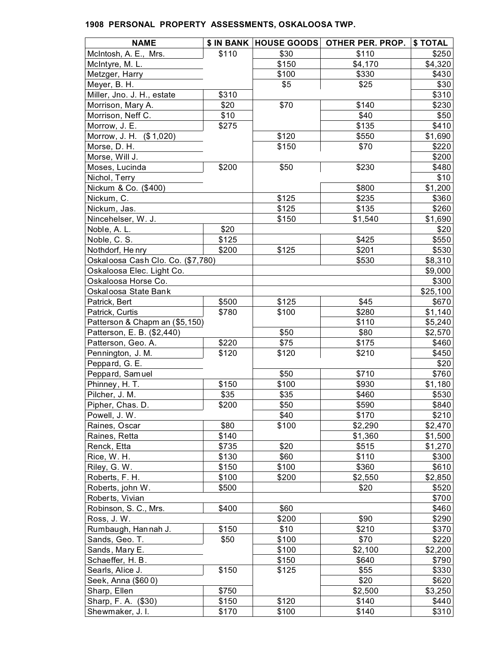| <b>NAME</b>                       |       | \$ IN BANK   HOUSE GOODS | OTHER PER. PROP. | \$TOTAL          |
|-----------------------------------|-------|--------------------------|------------------|------------------|
| McIntosh, A. E., Mrs.             | \$110 | \$30                     | \$110            | \$250            |
| McIntyre, M. L.                   |       | \$150                    | \$4,170          | \$4,320          |
| Metzger, Harry                    |       | \$100                    | \$330            | \$430            |
| Meyer, B. H.                      |       | \$5                      | \$25             | \$30             |
| Miller, Jno. J. H., estate        | \$310 |                          |                  | \$310            |
| Morrison, Mary A.                 | \$20  | \$70                     | \$140            | \$230            |
| Morrison, Neff C.                 | \$10  |                          | \$40             | \$50             |
| Morrow, J. E.                     | \$275 |                          | \$135            | \$410            |
| Morrow, J. H. (\$1,020)           |       | \$120                    | \$550            | \$1,690          |
| Morse, D. H.                      |       | \$150                    | \$70             | \$220            |
| Morse, Will J.                    |       |                          |                  | \$200            |
| Moses, Lucinda                    | \$200 | \$50                     | \$230            | \$480            |
| Nichol, Terry                     |       |                          |                  | \$10             |
| Nickum & Co. (\$400)              |       |                          | \$800            | \$1,200          |
| Nickum, C.                        |       | \$125                    | \$235            | \$360            |
| Nickum, Jas.                      |       | \$125                    | \$135            | \$260            |
| Nincehelser, W. J.                |       | \$150                    | \$1,540          | \$1,690          |
|                                   |       |                          |                  |                  |
| Noble, A. L.                      | \$20  |                          |                  | \$20             |
| Noble, C. S.                      | \$125 |                          | \$425            | \$550            |
| Nothdorf, Henry                   | \$200 | \$125                    | \$201            | \$530            |
| Oskaloosa Cash Clo. Co. (\$7,780) |       |                          | \$530            | \$8,310          |
| Oskaloosa Elec. Light Co.         |       |                          |                  | \$9,000          |
| Oskaloosa Horse Co.               |       |                          |                  | \$300            |
| Oskaloosa State Bank              |       |                          |                  | \$25,100         |
| Patrick, Bert                     | \$500 | \$125                    | \$45             | \$670            |
| Patrick, Curtis                   | \$780 | \$100                    | \$280            | \$1,140          |
| Patterson & Chapm an (\$5,150)    |       |                          | \$110            | \$5,240          |
| Patterson, E. B. (\$2,440)        |       | \$50                     | \$80             | \$2,570          |
| Patterson, Geo. A.                | \$220 | \$75                     | \$175            | \$460            |
| Pennington, J. M.                 | \$120 | \$120                    | \$210            | \$450            |
| Peppard, G. E.                    |       |                          |                  | \$20             |
| Peppard, Samuel                   |       | \$50                     | \$710            | \$760            |
| Phinney, H. T.                    | \$150 | \$100                    | \$930            | \$1,180          |
| Pilcher, J. M.                    | \$35  | \$35                     | \$460            | \$530            |
| Pipher, Chas. D.                  | \$200 | \$50                     | \$590            | \$840            |
| Powell, J. W.                     |       | \$40                     | \$170            | \$210            |
| Raines, Oscar                     | \$80  | \$100                    | \$2,290          | \$2,470          |
| Raines, Retta                     | \$140 |                          | \$1,360          | \$1,500          |
| Renck, Etta                       | \$735 | \$20                     | \$515            | \$1,270          |
| Rice, W. H.                       | \$130 | \$60                     | \$110            | \$300            |
| Riley, G. W.                      | \$150 | \$100                    | \$360            | \$610            |
| Roberts, F. H.                    | \$100 | \$200                    | \$2,550          | \$2,850          |
| Roberts, john W.                  | \$500 |                          | \$20             | \$520            |
| Roberts, Vivian                   |       |                          |                  | \$700            |
| Robinson, S. C., Mrs.             | \$400 | \$60                     |                  | \$460            |
| Ross, J.W.                        |       | \$200                    | \$90             | \$290            |
| Rumbaugh, Hannah J.               | \$150 | \$10                     | \$210            | \$370            |
| Sands, Geo. T.                    | \$50  | \$100                    | \$70             | \$220            |
| Sands, Mary E.                    |       | \$100                    | \$2,100          |                  |
| Schaeffer, H. B.                  |       | \$150                    | \$640            | \$2,200<br>\$790 |
|                                   |       |                          |                  |                  |
| Searls, Alice J.                  | \$150 | \$125                    | \$55             | \$330            |
| Seek, Anna (\$600)                |       |                          | \$20             | \$620            |
| Sharp, Ellen                      | \$750 |                          | \$2,500          | \$3,250          |
| Sharp, F. A. (\$30)               | \$150 | \$120                    | \$140            | \$440            |
| Shewmaker, J. I.                  | \$170 | \$100                    | \$140            | \$310            |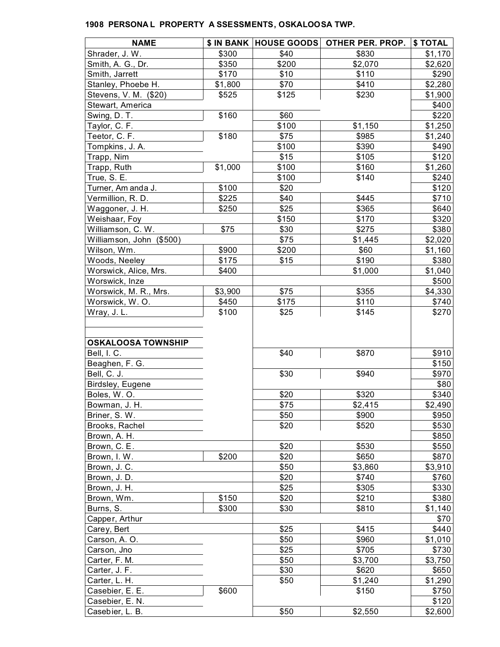| <b>NAME</b>               | \$ IN BANK | <b>HOUSE GOODS</b> | OTHER PER. PROP. | \$ TOTAL |
|---------------------------|------------|--------------------|------------------|----------|
| Shrader, J. W.            | \$300      | \$40               | \$830            | \$1,170  |
| Smith, A. G., Dr.         | \$350      | \$200              | \$2,070          | \$2,620  |
| Smith, Jarrett            | \$170      | \$10               | \$110            | \$290    |
| Stanley, Phoebe H.        | \$1,800    | \$70               | \$410            | \$2,280  |
| Stevens, V. M. (\$20)     | \$525      | \$125              | \$230            | \$1,900  |
| Stewart, America          |            |                    |                  | \$400    |
| Swing, D.T.               | \$160      | \$60               |                  | \$220    |
| Taylor, C. F.             |            | \$100              | \$1,150          | \$1,250  |
| Teetor, C. F.             | \$180      | \$75               | \$985            | \$1,240  |
| Tompkins, J. A.           |            | \$100              | \$390            | \$490    |
| Trapp, Nim                |            | \$15               | \$105            | \$120    |
| Trapp, Ruth               | \$1,000    | \$100              | \$160            | \$1,260  |
| True, S. E.               |            | \$100              | \$140            | \$240    |
| Turner, Am anda J.        | \$100      | \$20               |                  | \$120    |
| Vermillion, R. D.         | \$225      | \$40               | \$445            | \$710    |
| Waggoner, J. H.           | \$250      | \$25               | \$365            | \$640    |
| Weishaar, Foy             |            | \$150              | \$170            | \$320    |
| Williamson, C. W.         | \$75       | \$30               | \$275            | \$380    |
| Williamson, John (\$500)  |            | \$75               | \$1,445          | \$2,020  |
| Wilson, Wm.               | \$900      | \$200              | \$60             | \$1,160  |
| Woods, Neeley             | \$175      | \$15               | \$190            | \$380    |
| Worswick, Alice, Mrs.     | \$400      |                    | \$1,000          | \$1,040  |
| Worswick, Inze            |            |                    |                  | \$500    |
| Worswick, M. R., Mrs.     | \$3,900    | \$75               | \$355            | \$4,330  |
| Worswick, W.O.            | \$450      | \$175              | \$110            | \$740    |
| Wray, J.L.                | \$100      | \$25               | \$145            | \$270    |
| <b>OSKALOOSA TOWNSHIP</b> |            |                    |                  |          |
| Bell, I. C.               |            | \$40               | \$870            | \$910    |
| Beaghen, F. G.            |            |                    |                  | \$150    |
| Bell, C. J.               |            | \$30               | \$940            | \$970    |
| Birdsley, Eugene          |            |                    |                  | \$80     |
| Boles, W.O.               |            | \$20               | \$320            | \$340    |
| Bowman, J. H.             |            | \$75               | \$2,415          | \$2,490  |
| Briner, S. W.             |            | \$50               | \$900            | \$950    |
| Brooks, Rachel            |            | \$20               | \$520            | \$530    |
| Brown, A. H.              |            |                    |                  | \$850    |
| Brown, C. E.              |            | \$20               | \$530            | \$550    |
| Brown, I. W.              | \$200      | \$20               | \$650            | \$870    |
| Brown, J. C.              |            | \$50               | \$3,860          | \$3,910  |
| Brown, J. D.              |            | \$20               | \$740            | \$760    |
| Brown, J. H.              |            | \$25               | \$305            | \$330    |
| Brown, Wm.                | \$150      | \$20               | \$210            | \$380    |
| Burns, S.                 | \$300      | \$30               | \$810            | \$1,140  |
| Capper, Arthur            |            |                    |                  | \$70     |
| Carey, Bert               |            | \$25               | \$415            | \$440    |
| Carson, A. O.             |            | \$50               | \$960            | \$1,010  |
| Carson, Jno               |            | \$25               | \$705            | \$730    |
| Carter, F. M.             |            | \$50               | \$3,700          | \$3,750  |
| Carter, J. F.             |            | \$30               | \$620            | \$650    |
| Carter, L. H.             |            | \$50               | \$1,240          | \$1,290  |
| Casebier, E. E.           | \$600      |                    | \$150            | \$750    |
| Casebier, E. N.           |            |                    |                  | \$120    |
| Casebier, L. B.           |            | \$50               | \$2,550          | \$2,600  |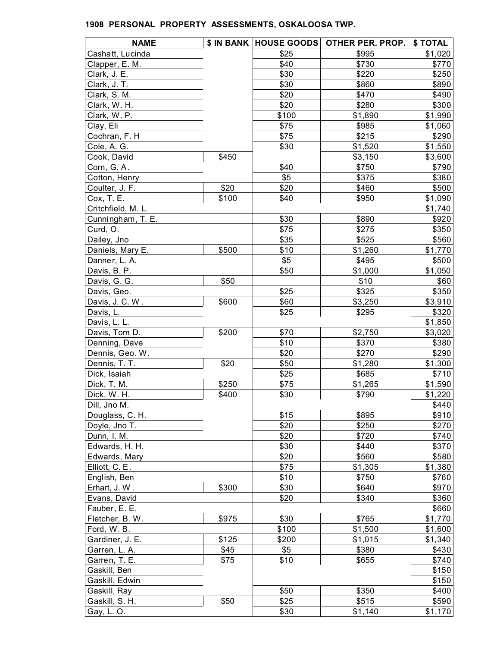| <b>NAME</b>        |       |       | \$ IN BANK HOUSE GOODS OTHER PER. PROP. | \$ TOTAL |
|--------------------|-------|-------|-----------------------------------------|----------|
| Cashatt, Lucinda   |       | \$25  | \$995                                   | \$1,020  |
| Clapper, E. M.     |       | \$40  | \$730                                   | \$770    |
| Clark, J. E.       |       | \$30  | \$220                                   | \$250    |
| Clark, J. T.       |       | \$30  | \$860                                   | \$890    |
| Clark, S. M.       |       | \$20  | \$470                                   | \$490    |
| Clark, W. H.       |       | \$20  | \$280                                   | \$300    |
| Clark, W. P.       |       | \$100 | \$1,890                                 | \$1,990  |
| Clay, Eli          |       | \$75  | \$985                                   | \$1,060  |
| Cochran, F. H      |       | \$75  | \$215                                   | \$290    |
| Cole, A. G.        |       | \$30  | \$1,520                                 | \$1,550  |
| Cook, David        | \$450 |       | \$3,150                                 | \$3,600  |
| Corn, G.A.         |       | \$40  | \$750                                   | \$790    |
| Cotton, Henry      |       | \$5   | \$375                                   | \$380    |
| Coulter, J. F.     | \$20  | \$20  | \$460                                   | \$500    |
| Cox, T. E.         | \$100 | \$40  | \$950                                   | \$1,090  |
| Critchfield, M. L. |       |       |                                         | \$1,740  |
| Cunningham, T. E.  |       | \$30  | \$890                                   | \$920    |
| Curd, O.           |       | \$75  | \$275                                   | \$350    |
| Dailey, Jno        |       | \$35  | \$525                                   | \$560    |
| Daniels, Mary E.   | \$500 | \$10  | \$1,260                                 | \$1,770  |
| Danner, L. A.      |       | \$5   | \$495                                   | \$500    |
| Davis, B. P.       |       | \$50  | \$1,000                                 | \$1,050  |
| Davis, G. G.       | \$50  |       | \$10                                    | \$60     |
| Davis, Geo.        |       | \$25  | \$325                                   | \$350    |
| Davis, J. C. W.    | \$600 | \$60  | \$3,250                                 | \$3,910  |
| Davis, L.          |       | \$25  | \$295                                   | \$320    |
| Davis, L. L.       |       |       |                                         | \$1,850  |
| Davis, Tom D.      | \$200 | \$70  | \$2,750                                 | \$3,020  |
| Denning, Dave      |       | \$10  | \$370                                   | \$380    |
| Dennis, Geo. W.    |       | \$20  | \$270                                   | \$290    |
| Dennis, T. T.      | \$20  | \$50  | \$1,280                                 | \$1,300  |
| Dick, Isaiah       |       | \$25  | \$685                                   | \$710    |
| Dick, T. M.        | \$250 | \$75  | \$1,265                                 | \$1,590  |
| Dick, W. H.        | \$400 | \$30  | \$790                                   | \$1,220  |
| Dill, Jno M.       |       |       |                                         | \$440    |
| Douglass, C. H.    |       | \$15  | \$895                                   | \$910    |
| Doyle, Jno T.      |       | \$20  | \$250                                   | \$270    |
| Dunn, I. M.        |       | \$20  | \$720                                   | \$740    |
| Edwards, H. H.     |       | \$30  | \$440                                   | \$370    |
| Edwards, Mary      |       | \$20  | \$560                                   | \$580    |
| Elliott, C. E.     |       | \$75  | \$1,305                                 | \$1,380  |
| English, Ben       |       | \$10  | \$750                                   | \$760    |
|                    | \$300 | \$30  | \$640                                   | \$970    |
| Erhart, J.W.       |       |       | \$340                                   |          |
| Evans, David       |       | \$20  |                                         | \$360    |
| Fauber, E. E.      |       |       |                                         | \$660    |
| Fletcher, B. W.    | \$975 | \$30  | \$765                                   | \$1,770  |
| Ford, W.B.         |       | \$100 | \$1,500                                 | \$1,600  |
| Gardiner, J. E.    | \$125 | \$200 | \$1,015                                 | \$1,340  |
| Garren, L. A.      | \$45  | \$5   | \$380                                   | \$430    |
| Garren, T. E.      | \$75  | \$10  | \$655                                   | \$740    |
| Gaskill, Ben       |       |       |                                         | \$150    |
| Gaskill, Edwin     |       |       |                                         | \$150    |
| Gaskill, Ray       |       | \$50  | \$350                                   | \$400    |
| Gaskill, S. H.     | \$50  | \$25  | \$515                                   | \$590    |
| Gay, L. O.         |       | \$30  | \$1,140                                 | \$1,170  |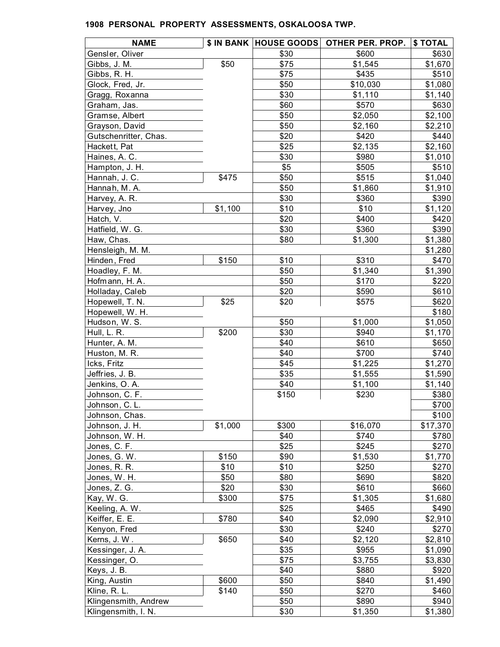| <b>NAME</b>           |         |       | \$ IN BANK HOUSE GOODS OTHER PER. PROP. | \$ TOTAL         |
|-----------------------|---------|-------|-----------------------------------------|------------------|
| Gensler, Oliver       |         | \$30  | \$600                                   | \$630            |
| Gibbs, J. M.          | \$50    | \$75  | \$1,545                                 | \$1,670          |
| Gibbs, R. H.          |         | \$75  | \$435                                   | \$510            |
| Glock, Fred, Jr.      |         | \$50  | \$10,030                                | \$1,080          |
| Gragg, Roxanna        |         | \$30  | \$1,110                                 | \$1,140          |
| Graham, Jas.          |         | \$60  | \$570                                   | \$630            |
| Gramse, Albert        |         | \$50  | \$2,050                                 | \$2,100          |
| Grayson, David        |         | \$50  | \$2,160                                 | \$2,210          |
| Gutschenritter, Chas. |         | \$20  | \$420                                   | \$440            |
| Hackett, Pat          |         | \$25  | \$2,135                                 | \$2,160          |
| Haines, A. C.         |         | \$30  | \$980                                   | \$1,010          |
| Hampton, J. H.        |         | \$5   | \$505                                   | \$510            |
| Hannah, J. C.         | \$475   | \$50  | \$515                                   | \$1,040          |
| Hannah, M.A.          |         | \$50  | \$1,860                                 | \$1,910          |
| Harvey, A. R.         |         | \$30  | \$360                                   | \$390            |
| Harvey, Jno           | \$1,100 | \$10  | \$10                                    | \$1,120          |
| Hatch, V.             |         | \$20  | \$400                                   | \$420            |
| Hatfield, W. G.       |         | \$30  | \$360                                   | \$390            |
| Haw, Chas.            |         | \$80  | \$1,300                                 | \$1,380          |
| Hensleigh, M. M.      |         |       |                                         | \$1,280          |
| Hinden, Fred          | \$150   | \$10  | \$310                                   | \$470            |
| Hoadley, F. M.        |         | \$50  | \$1,340                                 | \$1,390          |
| Hofmann, H.A.         |         | \$50  | \$170                                   | \$220            |
| Holladay, Caleb       |         | \$20  | \$590                                   | \$610            |
| Hopewell, T. N.       | \$25    | \$20  | \$575                                   | \$620            |
| Hopewell, W. H.       |         |       |                                         | \$180            |
| Hudson, W. S.         |         | \$50  | \$1,000                                 | \$1,050          |
| Hull, L. R.           | \$200   | \$30  | \$940                                   | \$1,170          |
| Hunter, A. M.         |         | \$40  | \$610                                   | \$650            |
| Huston, M. R.         |         | \$40  | \$700                                   | \$740            |
| Icks, Fritz           |         | \$45  | \$1,225                                 | \$1,270          |
| Jeffries, J. B.       |         | \$35  | \$1,555                                 | \$1,590          |
| Jenkins, O.A.         |         | \$40  | \$1,100                                 | \$1,140          |
| Johnson, C. F.        |         | \$150 | \$230                                   | \$380            |
| Johnson, C. L.        |         |       |                                         | \$700            |
| Johnson, Chas.        |         |       |                                         | \$100            |
| Johnson, J. H.        | \$1,000 | \$300 | \$16,070                                | \$17,370         |
| Johnson, W. H.        |         | \$40  | \$740                                   | \$780            |
| Jones, C. F.          |         | \$25  | \$245                                   | \$270            |
| Jones, G. W.          | \$150   | \$90  | \$1,530                                 | \$1,770          |
| Jones, R. R.          | \$10    | \$10  | \$250                                   | \$270            |
| Jones, W. H.          | \$50    | \$80  | \$690                                   | \$820            |
| Jones, Z. G.          | \$20    | \$30  | \$610                                   | \$660            |
|                       |         | \$75  | \$1,305                                 |                  |
| Kay, W. G.            | \$300   | \$25  | \$465                                   | \$1,680<br>\$490 |
| Keeling, A. W.        | \$780   | \$40  |                                         |                  |
| Keiffer, E. E.        |         | \$30  | \$2,090                                 | \$2,910          |
| Kenyon, Fred          |         |       | \$240                                   | \$270            |
| Kerns, J.W.           | \$650   | \$40  | \$2,120                                 | \$2,810          |
| Kessinger, J. A.      |         | \$35  | \$955                                   | \$1,090          |
| Kessinger, O.         |         | \$75  | \$3,755                                 | \$3,830          |
| Keys, J. B.           |         | \$40  | \$880                                   | \$920            |
| King, Austin          | \$600   | \$50  | \$840                                   | \$1,490          |
| Kline, R. L.          | \$140   | \$50  | \$270                                   | \$460            |
| Klingensmith, Andrew  |         | \$50  | \$890                                   | \$940            |
| Klingensmith, I. N.   |         | \$30  | \$1,350                                 | \$1,380          |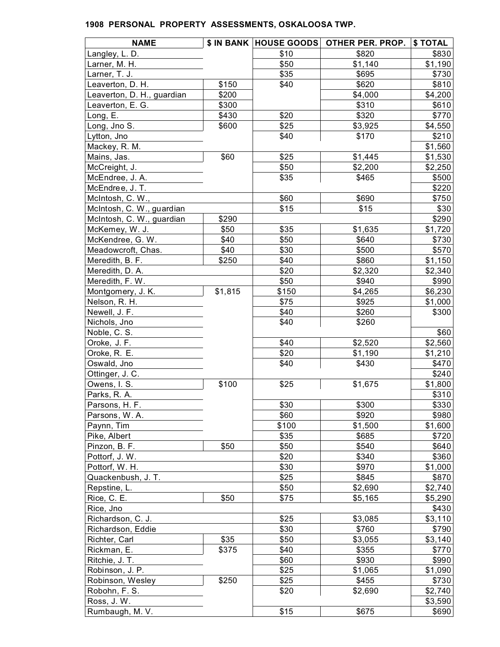| <b>NAME</b>                |         |       | \$ IN BANK HOUSE GOODS OTHER PER. PROP. | \$ TOTAL |
|----------------------------|---------|-------|-----------------------------------------|----------|
| Langley, L. D.             |         | \$10  | \$820                                   | \$830    |
| Larner, M. H.              |         | \$50  | \$1,140                                 | \$1,190  |
| Larner, T. J.              |         | \$35  | \$695                                   | \$730    |
| Leaverton, D. H.           | \$150   | \$40  | \$620                                   | \$810    |
| Leaverton, D. H., guardian | \$200   |       | \$4,000                                 | \$4,200  |
| Leaverton, E. G.           | \$300   |       | \$310                                   | \$610    |
| Long, E.                   | \$430   | \$20  | \$320                                   | \$770    |
| Long, Jno S.               | \$600   | \$25  | \$3,925                                 | \$4,550  |
| Lytton, Jno                |         | \$40  | \$170                                   | \$210    |
| Mackey, R. M.              |         |       |                                         | \$1,560  |
| Mains, Jas.                | \$60    | \$25  | \$1,445                                 | \$1,530  |
| McCreight, J.              |         | \$50  | \$2,200                                 | \$2,250  |
| McEndree, J. A.            |         | \$35  | \$465                                   | \$500    |
| McEndree, J. T.            |         |       |                                         | \$220    |
| McIntosh, C. W.,           |         | \$60  | \$690                                   | \$750    |
| McIntosh, C. W., guardian  |         | \$15  | \$15                                    | \$30     |
| McIntosh, C. W., guardian  | \$290   |       |                                         | \$290    |
| McKemey, W. J.             | \$50    | \$35  | \$1,635                                 | \$1,720  |
| McKendree, G. W.           | \$40    | \$50  | \$640                                   | \$730    |
| Meadowcroft, Chas.         | \$40    | \$30  | \$500                                   | \$570    |
| Meredith, B. F.            | \$250   | \$40  | \$860                                   | \$1,150  |
| Meredith, D. A.            |         | \$20  | \$2,320                                 | \$2,340  |
| Meredith, F. W.            |         | \$50  | \$940                                   | \$990    |
| Montgomery, J. K.          | \$1,815 | \$150 | \$4,265                                 | \$6,230  |
| Nelson, R. H.              |         | \$75  | \$925                                   | \$1,000  |
| Newell, J. F.              |         | \$40  | \$260                                   | \$300    |
| Nichols, Jno               |         | \$40  | \$260                                   |          |
| Noble, C. S.               |         |       |                                         | \$60     |
| Oroke, J. F.               |         | \$40  | \$2,520                                 | \$2,560  |
| Oroke, R. E.               |         | \$20  | \$1,190                                 | \$1,210  |
| Oswald, Jno                |         | \$40  | \$430                                   | \$470    |
| Ottinger, J. C.            |         |       |                                         | \$240    |
| Owens, I. S.               | \$100   | \$25  | \$1,675                                 | \$1,800  |
| Parks, R. A.               |         |       |                                         | \$310    |
| Parsons, H. F.             |         | \$30  | \$300                                   | \$330    |
| Parsons, W.A.              |         | \$60  | \$920                                   | \$980    |
| Paynn, Tim                 |         | \$100 | \$1,500                                 | \$1,600  |
| Pike, Albert               |         | \$35  | \$685                                   | \$720    |
| Pinzon, B. F.              | \$50    | \$50  | \$540                                   | \$640    |
| Pottorf, J. W.             |         | \$20  | \$340                                   | \$360    |
| Pottorf, W. H.             |         | \$30  | \$970                                   | \$1,000  |
| Quackenbush, J. T.         |         | \$25  | \$845                                   | \$870    |
| Repstine, L.               |         | \$50  | \$2,690                                 | \$2,740  |
| Rice, C. E.                | \$50    | \$75  | \$5,165                                 | \$5,290  |
| Rice, Jno                  |         |       |                                         | \$430    |
| Richardson, C. J.          |         | \$25  | \$3,085                                 | \$3,110  |
| Richardson, Eddie          |         | \$30  | \$760                                   | \$790    |
| Richter, Carl              | \$35    | \$50  | \$3,055                                 | \$3,140  |
| Rickman, E.                | \$375   | \$40  | \$355                                   | \$770    |
| Ritchie, J. T.             |         | \$60  | \$930                                   | \$990    |
| Robinson, J. P.            |         | \$25  | \$1,065                                 | \$1,090  |
| Robinson, Wesley           | \$250   | \$25  | \$455                                   | \$730    |
| Robohn, F. S.              |         | \$20  | \$2,690                                 | \$2,740  |
| Ross, J.W.                 |         |       |                                         | \$3,590  |
| Rumbaugh, M. V.            |         | \$15  | \$675                                   |          |
|                            |         |       |                                         | \$690    |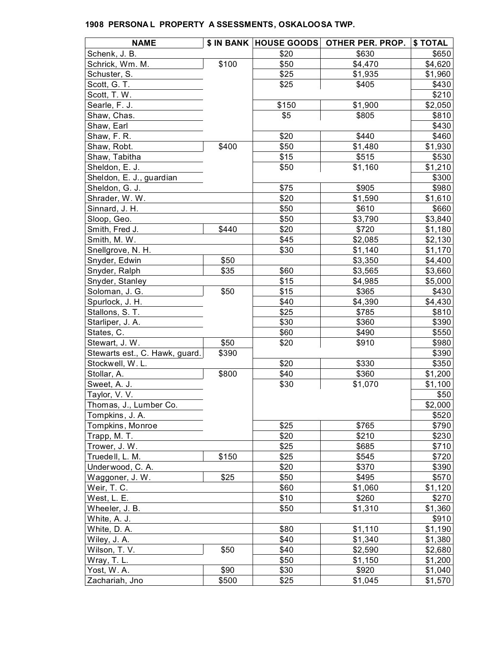| <b>NAME</b>                    |       |       | \$ IN BANK   HOUSE GOODS   OTHER PER. PROP. | \$ TOTAL |
|--------------------------------|-------|-------|---------------------------------------------|----------|
| Schenk, J. B.                  |       | \$20  | \$630                                       | \$650    |
| Schrick, Wm. M.                | \$100 | \$50  | \$4,470                                     | \$4,620  |
| Schuster, S.                   |       | \$25  | \$1,935                                     | \$1,960  |
| Scott, G. T.                   |       | \$25  | \$405                                       | \$430    |
| Scott, T. W.                   |       |       |                                             | \$210    |
| Searle, F. J.                  |       | \$150 | \$1,900                                     | \$2,050  |
| Shaw, Chas.                    |       | \$5   | \$805                                       | \$810    |
| Shaw, Earl                     |       |       |                                             | \$430    |
| Shaw, F. R.                    |       | \$20  | \$440                                       | \$460    |
| Shaw, Robt.                    | \$400 | \$50  | \$1,480                                     | \$1,930  |
| Shaw, Tabitha                  |       | \$15  | \$515                                       | \$530    |
| Sheldon, E. J.                 |       | \$50  | \$1,160                                     | \$1,210  |
| Sheldon, E. J., guardian       |       |       |                                             | \$300    |
| Sheldon, G. J.                 |       | \$75  | \$905                                       | \$980    |
| Shrader, W.W.                  |       | \$20  | \$1,590                                     | \$1,610  |
| Sinnard, J. H.                 |       | \$50  | \$610                                       | \$660    |
| Sloop, Geo.                    |       | \$50  | \$3,790                                     | \$3,840  |
| Smith, Fred J.                 | \$440 | \$20  | \$720                                       | \$1,180  |
| Smith, M. W.                   |       | \$45  | \$2,085                                     | \$2,130  |
| Snellgrove, N. H.              |       | \$30  | \$1,140                                     | \$1,170  |
| Snyder, Edwin                  | \$50  |       | \$3,350                                     | \$4,400  |
| Snyder, Ralph                  | \$35  | \$60  | \$3,565                                     | \$3,660  |
| Snyder, Stanley                |       | \$15  | \$4,985                                     | \$5,000  |
| Soloman, J. G.                 | \$50  | \$15  | \$365                                       | \$430    |
| Spurlock, J. H.                |       | \$40  | \$4,390                                     | \$4,430  |
| Stallons, S. T.                |       | \$25  | \$785                                       | \$810    |
| Starliper, J. A.               |       | \$30  | \$360                                       | \$390    |
| States, C.                     |       | \$60  | \$490                                       | \$550    |
| Stewart, J. W.                 | \$50  | \$20  | \$910                                       | \$980    |
| Stewarts est., C. Hawk, guard. | \$390 |       |                                             | \$390    |
| Stockwell, W.L.                |       | \$20  | \$330                                       | \$350    |
| Stollar, A.                    | \$800 | \$40  | \$360                                       | \$1,200  |
| Sweet, A. J.                   |       | \$30  | \$1,070                                     | \$1,100  |
| Taylor, V. V.                  |       |       |                                             | \$50     |
| Thomas, J., Lumber Co.         |       |       |                                             | \$2,000  |
| Tompkins, J. A.                |       |       |                                             | \$520    |
| Tompkins, Monroe               |       | \$25  | \$765                                       | \$790    |
| Trapp, M. T.                   |       | \$20  | \$210                                       | \$230    |
| Trower, J. W.                  |       | \$25  | \$685                                       | \$710    |
| Truedell, L. M.                | \$150 | \$25  | \$545                                       | \$720    |
| Underwood, C. A.               |       | \$20  | \$370                                       | \$390    |
| Waggoner, J. W.                | \$25  | \$50  | \$495                                       | \$570    |
| Weir, T. C.                    |       | \$60  | \$1,060                                     | \$1,120  |
| West, L. E.                    |       | \$10  | \$260                                       | \$270    |
| Wheeler, J. B.                 |       | \$50  | \$1,310                                     | \$1,360  |
| White, A. J.                   |       |       |                                             | \$910    |
| White, D. A.                   |       | \$80  | \$1,110                                     | \$1,190  |
| Wiley, J. A.                   |       | \$40  | \$1,340                                     | \$1,380  |
| Wilson, T. V.                  | \$50  | \$40  | \$2,590                                     | \$2,680  |
| Wray, T. L.                    |       | \$50  | \$1,150                                     | \$1,200  |
| Yost, W.A.                     | \$90  | \$30  | \$920                                       | \$1,040  |
| Zachariah, Jno                 | \$500 | \$25  | \$1,045                                     | \$1,570  |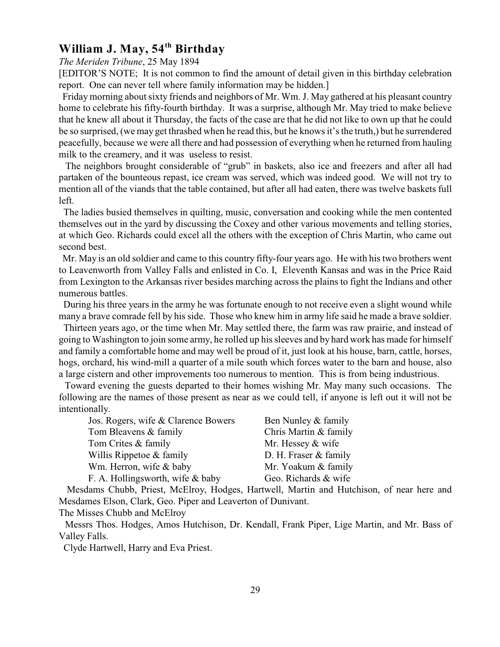# **William J. May, 54<sup>th</sup> Birthday**

*The Meriden Tribune*, 25 May 1894

[EDITOR'S NOTE; It is not common to find the amount of detail given in this birthday celebration report. One can never tell where family information may be hidden.]

 Friday morning about sixty friends and neighbors of Mr. Wm. J. May gathered at his pleasant country home to celebrate his fifty-fourth birthday. It was a surprise, although Mr. May tried to make believe that he knew all about it Thursday, the facts of the case are that he did not like to own up that he could be so surprised, (we may get thrashed when he read this, but he knows it's the truth,) but he surrendered peacefully, because we were all there and had possession of everything when he returned from hauling milk to the creamery, and it was useless to resist.

 The neighbors brought considerable of "grub" in baskets, also ice and freezers and after all had partaken of the bounteous repast, ice cream was served, which was indeed good. We will not try to mention all of the viands that the table contained, but after all had eaten, there was twelve baskets full left.

 The ladies busied themselves in quilting, music, conversation and cooking while the men contented themselves out in the yard by discussing the Coxey and other various movements and telling stories, at which Geo. Richards could excel all the others with the exception of Chris Martin, who came out second best.

 Mr. May is an old soldier and came to this country fifty-four years ago. He with his two brothers went to Leavenworth from Valley Falls and enlisted in Co. I, Eleventh Kansas and was in the Price Raid from Lexington to the Arkansas river besides marching across the plains to fight the Indians and other numerous battles.

 During his three years in the army he was fortunate enough to not receive even a slight wound while many a brave comrade fell by his side. Those who knew him in army life said he made a brave soldier.

 Thirteen years ago, or the time when Mr. May settled there, the farm was raw prairie, and instead of going to Washington to join some army, he rolled up his sleeves and by hard work has made for himself and family a comfortable home and may well be proud of it, just look at his house, barn, cattle, horses, hogs, orchard, his wind-mill a quarter of a mile south which forces water to the barn and house, also a large cistern and other improvements too numerous to mention. This is from being industrious.

 Toward evening the guests departed to their homes wishing Mr. May many such occasions. The following are the names of those present as near as we could tell, if anyone is left out it will not be intentionally.

| Jos. Rogers, wife & Clarence Bowers | Ben Nunley & family   |
|-------------------------------------|-----------------------|
| Tom Bleavens & family               | Chris Martin & family |
| Tom Crites & family                 | Mr. Hessey & wife     |
| Willis Rippetoe $&$ family          | D. H. Fraser & family |
| Wm. Herron, wife & baby             | Mr. Yoakum & family   |
| F. A. Hollingsworth, wife & baby    | Geo. Richards & wife  |

 Mesdams Chubb, Priest, McElroy, Hodges, Hartwell, Martin and Hutchison, of near here and Mesdames Elson, Clark, Geo. Piper and Leaverton of Dunivant.

The Misses Chubb and McElroy

 Messrs Thos. Hodges, Amos Hutchison, Dr. Kendall, Frank Piper, Lige Martin, and Mr. Bass of Valley Falls.

Clyde Hartwell, Harry and Eva Priest.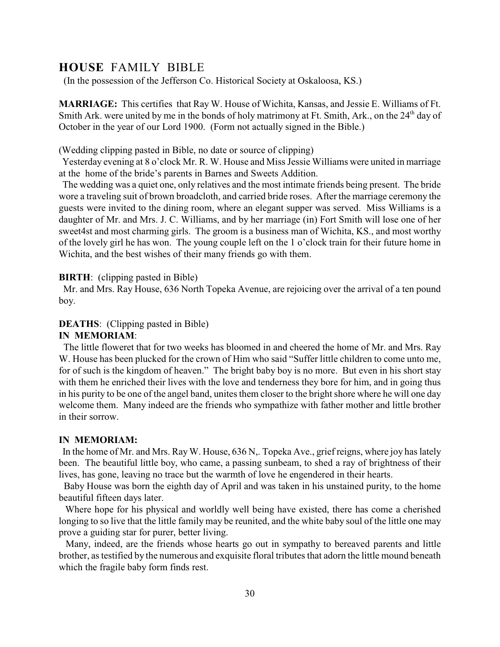### **HOUSE** FAMILY BIBLE

(In the possession of the Jefferson Co. Historical Society at Oskaloosa, KS.)

**MARRIAGE:** This certifies that Ray W. House of Wichita, Kansas, and Jessie E. Williams of Ft. Smith Ark. were united by me in the bonds of holy matrimony at Ft. Smith, Ark., on the 24<sup>th</sup> day of October in the year of our Lord 1900. (Form not actually signed in the Bible.)

(Wedding clipping pasted in Bible, no date or source of clipping)

Yesterday evening at 8 o'clock Mr. R. W. House and Miss Jessie Williams were united in marriage at the home of the bride's parents in Barnes and Sweets Addition.

 The wedding was a quiet one, only relatives and the most intimate friends being present. The bride wore a traveling suit of brown broadcloth, and carried bride roses. After the marriage ceremony the guests were invited to the dining room, where an elegant supper was served. Miss Williams is a daughter of Mr. and Mrs. J. C. Williams, and by her marriage (in) Fort Smith will lose one of her sweet4st and most charming girls. The groom is a business man of Wichita, KS., and most worthy of the lovely girl he has won. The young couple left on the 1 o'clock train for their future home in Wichita, and the best wishes of their many friends go with them.

#### **BIRTH:** (clipping pasted in Bible)

 Mr. and Mrs. Ray House, 636 North Topeka Avenue, are rejoicing over the arrival of a ten pound boy.

#### **DEATHS:** (Clipping pasted in Bible)

#### **IN MEMORIAM**:

 The little floweret that for two weeks has bloomed in and cheered the home of Mr. and Mrs. Ray W. House has been plucked for the crown of Him who said "Suffer little children to come unto me, for of such is the kingdom of heaven." The bright baby boy is no more. But even in his short stay with them he enriched their lives with the love and tenderness they bore for him, and in going thus in his purity to be one of the angel band, unites them closer to the bright shore where he will one day welcome them. Many indeed are the friends who sympathize with father mother and little brother in their sorrow.

IN MEMORIAM:<br>In the home of Mr. and Mrs. Ray W. House, 636 N,. Topeka Ave., grief reigns, where joy has lately been. The beautiful little boy, who came, a passing sunbeam, to shed a ray of brightness of their lives, has gone, leaving no trace but the warmth of love he engendered in their hearts.

 Baby House was born the eighth day of April and was taken in his unstained purity, to the home beautiful fifteen days later.

 Where hope for his physical and worldly well being have existed, there has come a cherished longing to so live that the little family may be reunited, and the white baby soul of the little one may prove a guiding star for purer, better living.

 Many, indeed, are the friends whose hearts go out in sympathy to bereaved parents and little brother, as testified by the numerous and exquisite floral tributes that adorn the little mound beneath which the fragile baby form finds rest.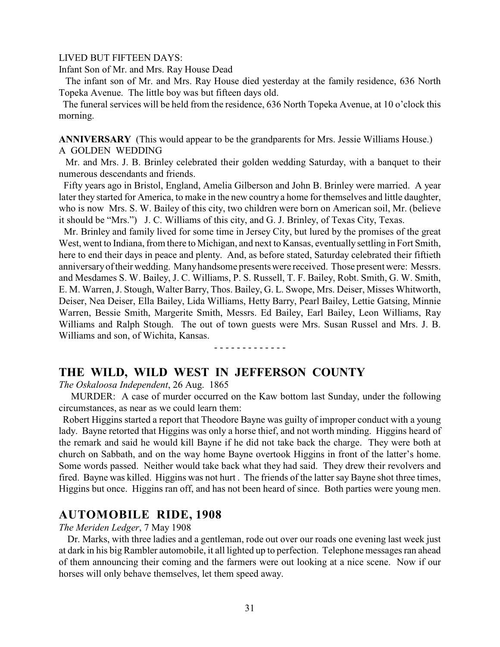#### LIVED BUT FIFTEEN DAYS:

Infant Son of Mr. and Mrs. Ray House Dead

 The infant son of Mr. and Mrs. Ray House died yesterday at the family residence, 636 North Topeka Avenue. The little boy was but fifteen days old.

 The funeral services will be held from the residence, 636 North Topeka Avenue, at 10 o'clock this morning.

**ANNIVERSARY** (This would appear to be the grandparents for Mrs. Jessie Williams House.) A GOLDEN WEDDING

 Mr. and Mrs. J. B. Brinley celebrated their golden wedding Saturday, with a banquet to their numerous descendants and friends.

 Fifty years ago in Bristol, England, Amelia Gilberson and John B. Brinley were married. A year later they started for America, to make in the new country a home for themselves and little daughter, who is now Mrs. S. W. Bailey of this city, two children were born on American soil, Mr. (believe it should be "Mrs.") J. C. Williams of this city, and G. J. Brinley, of Texas City, Texas.

 Mr. Brinley and family lived for some time in Jersey City, but lured by the promises of the great West, went to Indiana, from there to Michigan, and next to Kansas, eventually settling in Fort Smith, here to end their days in peace and plenty. And, as before stated, Saturday celebrated their fiftieth anniversary of their wedding. Many handsome presents were received. Those present were: Messrs. and Mesdames S. W. Bailey, J. C. Williams, P. S. Russell, T. F. Bailey, Robt. Smith, G. W. Smith, E. M. Warren, J. Stough, Walter Barry, Thos. Bailey, G. L. Swope, Mrs. Deiser, Misses Whitworth, Deiser, Nea Deiser, Ella Bailey, Lida Williams, Hetty Barry, Pearl Bailey, Lettie Gatsing, Minnie Warren, Bessie Smith, Margerite Smith, Messrs. Ed Bailey, Earl Bailey, Leon Williams, Ray Williams and Ralph Stough. The out of town guests were Mrs. Susan Russel and Mrs. J. B. Williams and son, of Wichita, Kansas.

#### - - - - - - - - - - - - -

### **THE WILD, WILD WEST IN JEFFERSON COUNTY**

*The Oskaloosa Independent*, 26 Aug. 1865

 MURDER: A case of murder occurred on the Kaw bottom last Sunday, under the following circumstances, as near as we could learn them:

 Robert Higgins started a report that Theodore Bayne was guilty of improper conduct with a young lady. Bayne retorted that Higgins was only a horse thief, and not worth minding. Higgins heard of the remark and said he would kill Bayne if he did not take back the charge. They were both at church on Sabbath, and on the way home Bayne overtook Higgins in front of the latter's home. Some words passed. Neither would take back what they had said. They drew their revolvers and fired. Bayne was killed. Higgins was not hurt . The friends of the latter say Bayne shot three times, Higgins but once. Higgins ran off, and has not been heard of since. Both parties were young men.

# **AUTOMOBILE RIDE, 1908** *The Meriden Ledger*, 7 May 1908

 Dr. Marks, with three ladies and a gentleman, rode out over our roads one evening last week just at dark in his big Rambler automobile, it all lighted up to perfection. Telephone messages ran ahead of them announcing their coming and the farmers were out looking at a nice scene. Now if our horses will only behave themselves, let them speed away.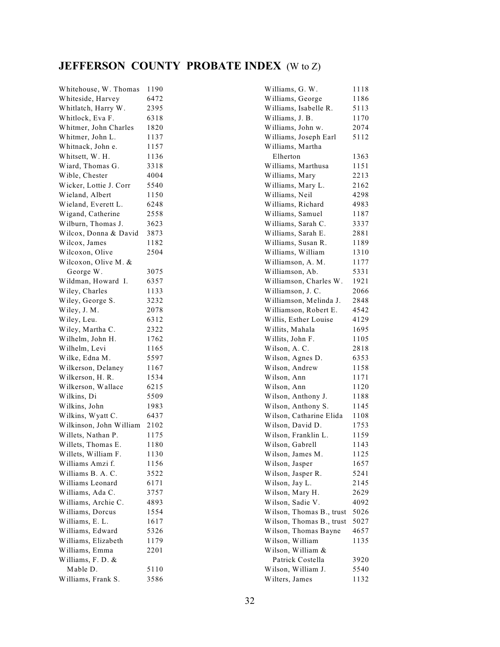# **JEFFERSON COUNTY PROBATE INDEX** (W to Z)

| Whitehouse, W. Thomas   | 1190         |
|-------------------------|--------------|
| Whiteside, Harvey       | 6472         |
| Whitlatch, Harry W.     | 2395         |
| Whitlock, Eva F.        | 6318         |
| Whitmer, John Charles   | 1820         |
| Whitmer, John L.        | 1137         |
| Whitnack, John e.       | 1157         |
| Whitsett, W. H.         | 1136         |
| Wiard, Thomas G.        | 3318         |
| Wible, Chester          | 4004         |
| Wicker, Lottie J. Corr  | 5540         |
| Wieland, Albert         | 1150         |
| Wieland, Everett L.     | 6248         |
| Wigand, Catherine       | 2558         |
| Wilburn, Thomas J.      | 3623         |
| Wilcox, Donna & David   | 3873         |
| Wilcox, James           | 1182         |
| Wilcoxon, Olive         | 2504         |
| Wilcoxon, Olive M. &    |              |
| George W.               | 3075         |
| Wildman, Howard I.      | 6357         |
| Wiley, Charles          | 1133         |
| Wiley, George S.        | 3232         |
| Wiley, J. M.            | 2078         |
| Wiley, Leu.             | 6312         |
| Wiley, Martha C.        | 2322         |
| Wilhelm, John H.        | 1762         |
| Wilhelm, Levi           | 1165         |
| Wilke, Edna M.          | 5597         |
| Wilkerson, Delaney      | 1167         |
| Wilkerson, H. R.        | 1534         |
| Wilkerson, Wallace      | 6215         |
| Wilkins, Di             | 5509         |
| Wilkins, John           | 1983         |
| Wilkins, Wyatt C.       | 6437         |
| Wilkinson, John William | 2102         |
| Willets, Nathan P.      |              |
| Willets, Thomas E.      | 1175         |
|                         | 1180<br>1130 |
| Willets, William F.     |              |
| Williams Amzi f.        | 1156         |
| Williams B. A. C.       | 3522         |
| Williams Leonard        | 6171         |
| Williams, Ada C.        | 3757         |
| Williams, Archie C.     | 4893         |
| Williams, Dorcus        | 1554         |
| Williams, E. L.         | 1617         |
| Williams, Edward        | 5326         |
| Williams, Elizabeth     | 1179         |
| Williams, Emma          | 2201         |
| Williams, F. D. &       |              |
| Mable D.                | 5110         |
| Williams, Frank S.      | 3586         |

| Williams, G. W.                                  | 1118         |
|--------------------------------------------------|--------------|
| Williams, George                                 | 1186         |
| Williams, Isabelle R.                            | 5113         |
| Williams, J. B.                                  | 1170         |
| Williams, John w.                                | 2074         |
| Williams, Joseph Earl                            | 5112         |
| Williams, Martha                                 |              |
| Elherton                                         | 1363         |
| Williams, Marthusa                               | 1151         |
| Williams, Mary                                   | 2213         |
| Williams, Mary L.                                | 2162         |
| Williams, Neil                                   | 4298         |
| Williams, Richard                                | 4983         |
| Williams, Samuel                                 | 1187         |
| Williams, Sarah C.                               | 3337         |
| Williams, Sarah E.                               | 2881         |
| Williams, Susan R.                               | 1189         |
| Williams, William                                | 1310         |
| Williamson, A. M.                                | 1177         |
| Williamson, Ab.                                  | 5331         |
| Williamson, Charles W.                           | 1921         |
| Williamson, J. C.                                | 2066         |
| Williamson, Melinda J.                           | 2848         |
| Williamson, Robert E.                            | 4542         |
| Willis, Esther Louise                            | 4129         |
| Willits, Mahala                                  | 1695         |
| Willits, John F.                                 | 1105         |
| Wilson, A. C.                                    | 2818         |
| Wilson, Agnes D.                                 | 6353         |
| Wilson, Andrew                                   | 1158         |
| Wilson, Ann                                      | 1171         |
| Wilson, Ann                                      | 1120         |
| Wilson, Anthony J.                               | 1188         |
| Wilson, Anthony S.                               | 1145         |
| Wilson, Catharine Elida                          | 1108         |
| Wilson, David D.                                 | 1753         |
| Wilson, Franklin L.                              | 1159         |
| Wilson, Gabrell                                  | 1143         |
|                                                  |              |
| Wilson, James M.                                 | 1125<br>1657 |
| Wilson, Jasper                                   |              |
| Wilson, Jasper R.                                | 5241         |
| Wilson, Jay L.                                   | 2145         |
| Wilson, Mary H.                                  | 2629         |
| Wilson, Sadie V.                                 | 4092         |
| Wilson, Thomas B., trust                         | 5026         |
| Wilson, Thomas B., trust<br>Wilson, Thomas Bayne | 5027         |
|                                                  | 4657         |
| Wilson, William                                  | 1135         |
| Wilson, William &                                |              |
| Patrick Costella                                 | 3920         |
| Wilson, William J.                               | 5540         |
| Wilters, James                                   | 1132         |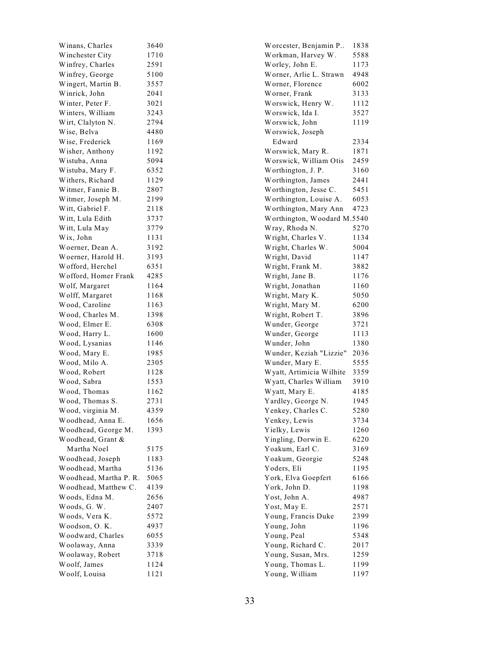| Winans, Charles                     | 3640 |
|-------------------------------------|------|
| Winchester City                     | 1710 |
| Winfrey, Charles                    | 2591 |
| Winfrey, George                     | 5100 |
| Wingert, Martin B.                  | 3557 |
| Winrick, John                       | 2041 |
| Winter, Peter F.                    | 3021 |
| Winters, William                    | 3243 |
| Wirt, Clalyton N.                   | 2794 |
| Wise, Belva                         | 4480 |
| Wise, Frederick                     | 1169 |
| Wisher, Anthony                     | 1192 |
| Wistuba, Anna                       | 5094 |
| Wistuba, Mary F.                    | 6352 |
| Withers, Richard                    | 1129 |
| Witmer, Fannie B.                   | 2807 |
| Witmer, Joseph M.                   | 2199 |
| Witt, Gabriel F.                    | 2118 |
| Witt, Lula Edith                    | 3737 |
| Witt, Lula May                      | 3779 |
| Wix, John                           | 1131 |
| Woerner, Dean A.                    | 3192 |
| Woerner, Harold H.                  | 3193 |
| Wofford, Herchel                    | 6351 |
| Wofford, Homer Frank                | 4285 |
| Wolf, Margaret                      | 1164 |
| Wolff, Margaret                     | 1168 |
| Wood, Caroline                      | 1163 |
| Wood, Charles M.                    | 1398 |
| Wood, Elmer E.                      | 6308 |
| Wood, Harry L.                      | 1600 |
| Wood, Lysanias                      | 1146 |
| Wood, Mary E.                       | 1985 |
| Wood, Milo A.                       | 2305 |
| Wood, Robert                        | 1128 |
| Wood, Sabra                         | 1553 |
| Wood, Thomas                        | 1162 |
| Wood, Thomas S.                     | 2731 |
| Wood, virginia M.                   | 4359 |
| Woodhead, Anna E.                   | 1656 |
| Woodhead, George M.                 | 1393 |
| Woodhead, Grant &                   |      |
| Martha Noel                         | 5175 |
| Woodhead, Joseph                    | 1183 |
| Woodhead, Martha                    | 5136 |
| Woodhead, Martha P. R.              | 5065 |
| Woodhead, Matthew C.                | 4139 |
| Woods, Edna M.                      | 2656 |
| Woods, G. W.                        | 2407 |
| Woods, Vera K.                      | 5572 |
|                                     | 4937 |
| Woodson, O. K.<br>Woodward, Charles | 6055 |
|                                     | 3339 |
| Woolaway, Anna                      |      |
| Woolaway, Robert                    | 3718 |
| Woolf, James<br>Woolf, Louisa       | 1124 |
|                                     | 1121 |

| Worcester, Benjamin P       | 1838 |
|-----------------------------|------|
| Workman, Harvey W.          | 5588 |
| Worley, John E.             | 1173 |
| Worner, Arlie L. Strawn     | 4948 |
| Worner, Florence            | 6002 |
| Worner, Frank               | 3133 |
| Worswick, Henry W.          | 1112 |
| Worswick, Ida I.            | 3527 |
| Worswick, John              | 1119 |
| Worswick, Joseph            |      |
| Edward                      | 2334 |
| Worswick, Mary R.           | 1871 |
| Worswick, William Otis      | 2459 |
| Worthington, J. P.          | 3160 |
|                             | 2441 |
| Worthington, James          |      |
| Worthington, Jesse C.       | 5451 |
| Worthington, Louise A.      | 6053 |
| Worthington, Mary Ann       | 4723 |
| Worthington, Woodard M.5540 |      |
| Wray, Rhoda N.              | 5270 |
| Wright, Charles V.          | 1134 |
| Wright, Charles W.          | 5004 |
| Wright, David               | 1147 |
| Wright, Frank M.            | 3882 |
| Wright, Jane B.             | 1176 |
| Wright, Jonathan            | 1160 |
| Wright, Mary K.             | 5050 |
| Wright, Mary M.             | 6200 |
| Wright, Robert T.           | 3896 |
| Wunder, George              | 3721 |
| Wunder, George              | 1113 |
|                             |      |
| Wunder, John                | 1380 |
| Wunder, Keziah "Lizzie"     | 2036 |
| Wunder, Mary E.             | 5555 |
| Wyatt, Artimicia Wilhite    | 3359 |
| Wyatt, Charles William      | 3910 |
| Wyatt, Mary E.              | 4185 |
| Yardley, George N.          | 1945 |
| Yenkey, Charles C.          | 5280 |
| Yenkey, Lewis               | 3734 |
| Yielky, Lewis               | 1260 |
| Yingling, Dorwin E.         | 6220 |
| Yoakum, Earl C.             | 3169 |
| Yoakum, Georgie             | 5248 |
| Yoders, Eli                 | 1195 |
| York, Elva Goepfert         | 6166 |
| York, John D.               | 1198 |
| Yost, John A.               | 4987 |
| Yost, May E.                | 2571 |
| Young, Francis Duke         | 2399 |
|                             | 1196 |
| Young, John                 |      |
| Young, Peal                 | 5348 |
| Young, Richard C.           | 2017 |
| Young, Susan, Mrs.          | 1259 |
| Young, Thomas L.            | 1199 |
| Young, William              | 1197 |